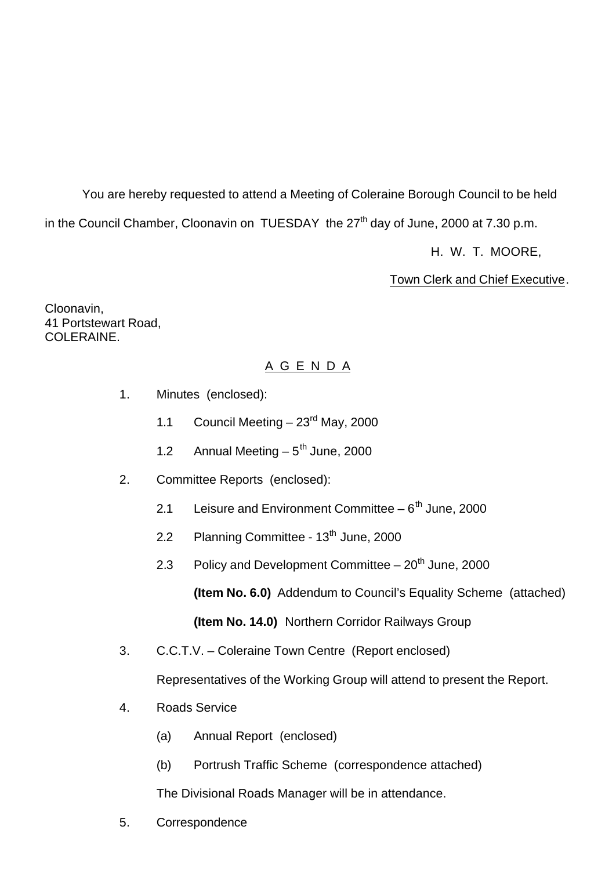You are hereby requested to attend a Meeting of Coleraine Borough Council to be held in the Council Chamber, Cloonavin on TUESDAY the  $27<sup>th</sup>$  day of June, 2000 at 7.30 p.m. H. W. T. MOORE,

Town Clerk and Chief Executive.

Cloonavin, 41 Portstewart Road, COLERAINE.

## A G E N D A

- 1. Minutes (enclosed):
	- 1.1 Council Meeting  $-23^{\text{rd}}$  May, 2000
	- 1.2 Annual Meeting  $-5<sup>th</sup>$  June, 2000
- 2. Committee Reports (enclosed):
	- 2.1 Leisure and Environment Committee  $-6<sup>th</sup>$  June, 2000
	- 2.2 Planning Committee  $13<sup>th</sup>$  June, 2000
	- 2.3 Policy and Development Committee  $-20<sup>th</sup>$  June, 2000

**(Item No. 6.0)** Addendum to Council's Equality Scheme (attached)

**(Item No. 14.0)** Northern Corridor Railways Group

3. C.C.T.V. – Coleraine Town Centre (Report enclosed)

Representatives of the Working Group will attend to present the Report.

- 4. Roads Service
	- (a) Annual Report (enclosed)
	- (b) Portrush Traffic Scheme (correspondence attached)

The Divisional Roads Manager will be in attendance.

5. Correspondence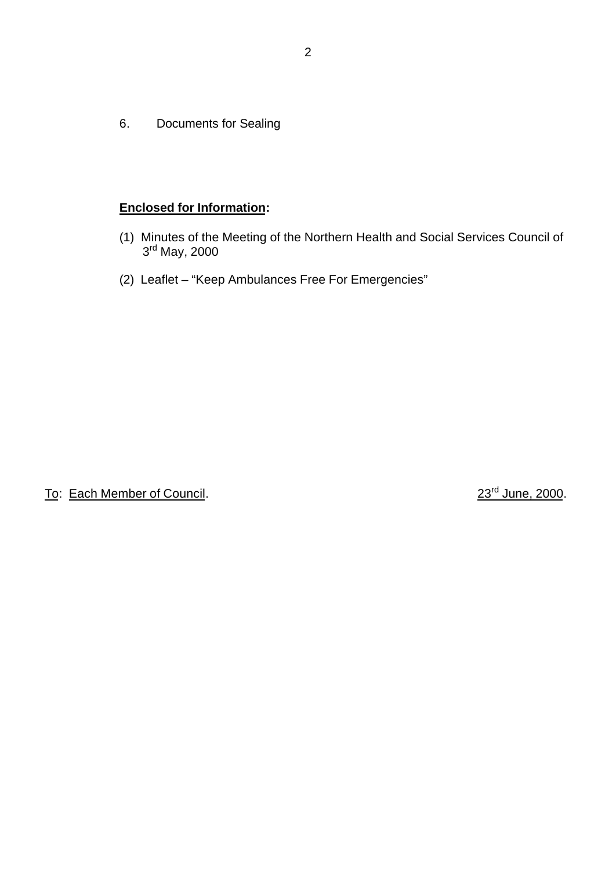6. Documents for Sealing

### **Enclosed for Information:**

- (1) Minutes of the Meeting of the Northern Health and Social Services Council of 3rd May, 2000
- (2) Leaflet "Keep Ambulances Free For Emergencies"

To: Each Member of Council. 23<sup>rd</sup> June, 2000.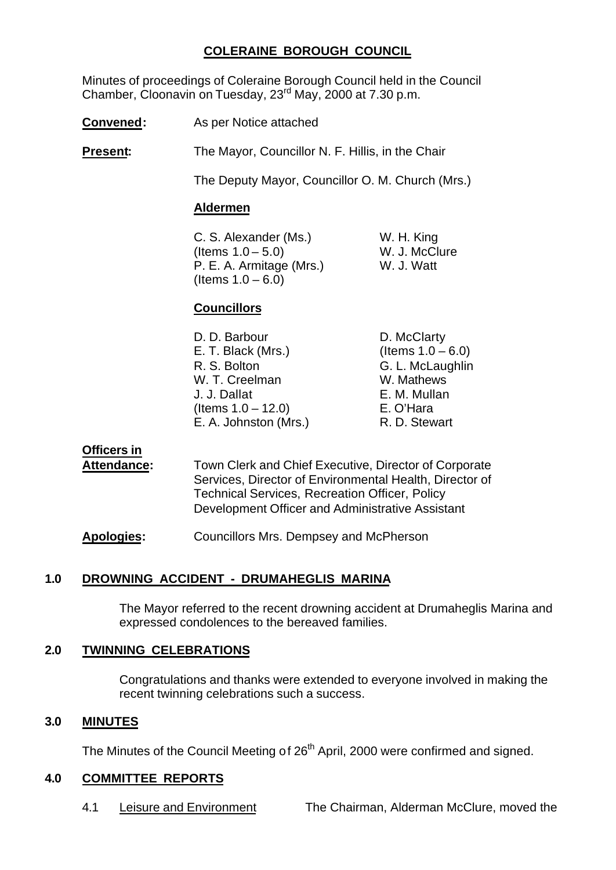## **COLERAINE BOROUGH COUNCIL**

Minutes of proceedings of Coleraine Borough Council held in the Council Chamber, Cloonavin on Tuesday, 23rd May, 2000 at 7.30 p.m.

**Convened:** As per Notice attached

**Present:** The Mayor, Councillor N. F. Hillis, in the Chair

The Deputy Mayor, Councillor O. M. Church (Mrs.)

#### **Aldermen**

C. S. Alexander (Ms.) W. H. King  $($ ltems  $1.0 - 5.0)$  W. J. McClure P. E. A. Armitage (Mrs.) W. J. Watt (Items  $1.0 - 6.0$ )

## **Councillors**

| D. McClarty          |
|----------------------|
| (Items $1.0 - 6.0$ ) |
| G. L. McLaughlin     |
| W. Mathews           |
| E. M. Mullan         |
| E. O'Hara            |
| R. D. Stewart        |
|                      |

## **Officers in**

**Attendance:** Town Clerk and Chief Executive, Director of Corporate Services, Director of Environmental Health, Director of Technical Services, Recreation Officer, Policy Development Officer and Administrative Assistant

**Apologies:** Councillors Mrs. Dempsey and McPherson

## **1.0 DROWNING ACCIDENT - DRUMAHEGLIS MARINA**

The Mayor referred to the recent drowning accident at Drumaheglis Marina and expressed condolences to the bereaved families.

#### **2.0 TWINNING CELEBRATIONS**

Congratulations and thanks were extended to everyone involved in making the recent twinning celebrations such a success.

#### **3.0 MINUTES**

The Minutes of the Council Meeting of 26<sup>th</sup> April, 2000 were confirmed and signed.

#### **4.0 COMMITTEE REPORTS**

4.1 Leisure and Environment The Chairman, Alderman McClure, moved the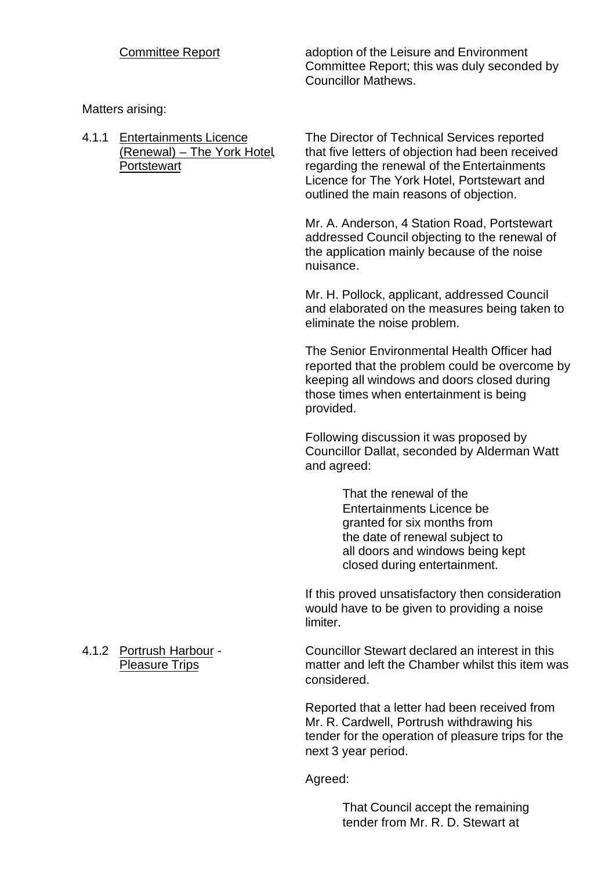Committee Report adoption of the Leisure and Environment Committee Report; this was duly seconded by Councillor Mathews.

Matters arising:

4.1.1 Entertainments Licence The Director of Technical Services reported (Renewal) – The York Hotel, that five letters of objection had been received Portstewart regarding the renewal of the Entertainments Licence for The York Hotel, Portstewart and outlined the main reasons of objection.

> Mr. A. Anderson, 4 Station Road, Portstewart addressed Council objecting to the renewal of the application mainly because of the noise nuisance.

Mr. H. Pollock, applicant, addressed Council and elaborated on the measures being taken to eliminate the noise problem.

The Senior Environmental Health Officer had reported that the problem could be overcome by keeping all windows and doors closed during those times when entertainment is being provided.

Following discussion it was proposed by Councillor Dallat, seconded by Alderman Watt and agreed:

> That the renewal of the Entertainments Licence be granted for six months from the date of renewal subject to all doors and windows being kept closed during entertainment.

If this proved unsatisfactory then consideration would have to be given to providing a noise limiter.

4.1.2 Portrush Harbour - Councillor Stewart declared an interest in this Pleasure Trips matter and left the Chamber whilst this item was considered.

> Reported that a letter had been received from Mr. R. Cardwell, Portrush withdrawing his tender for the operation of pleasure trips for the next 3 year period.

Agreed:

That Council accept the remaining tender from Mr. R. D. Stewart at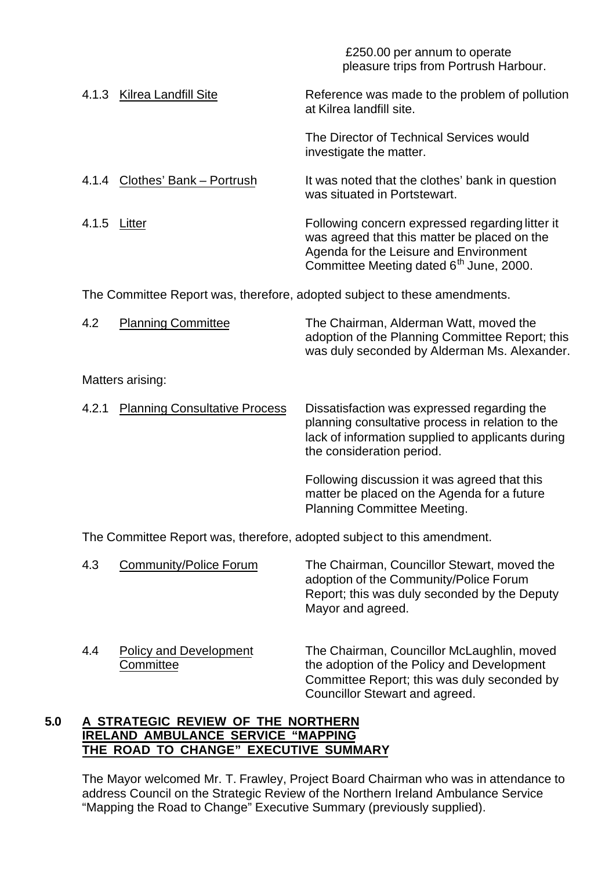|              |                                            | £250.00 per annum to operate<br>pleasure trips from Portrush Harbour.                                                                                                                            |  |  |
|--------------|--------------------------------------------|--------------------------------------------------------------------------------------------------------------------------------------------------------------------------------------------------|--|--|
|              | 4.1.3 Kilrea Landfill Site                 | Reference was made to the problem of pollution<br>at Kilrea landfill site.                                                                                                                       |  |  |
|              |                                            | The Director of Technical Services would<br>investigate the matter.                                                                                                                              |  |  |
|              | 4.1.4 Clothes' Bank - Portrush             | It was noted that the clothes' bank in question<br>was situated in Portstewart.                                                                                                                  |  |  |
| 4.1.5 Litter |                                            | Following concern expressed regarding litter it<br>was agreed that this matter be placed on the<br>Agenda for the Leisure and Environment<br>Committee Meeting dated 6 <sup>th</sup> June, 2000. |  |  |
|              |                                            | The Committee Report was, therefore, adopted subject to these amendments.                                                                                                                        |  |  |
| 4.2          | <b>Planning Committee</b>                  | The Chairman, Alderman Watt, moved the<br>adoption of the Planning Committee Report; this<br>was duly seconded by Alderman Ms. Alexander.                                                        |  |  |
|              | Matters arising:                           |                                                                                                                                                                                                  |  |  |
| 4.2.1        | <b>Planning Consultative Process</b>       | Dissatisfaction was expressed regarding the<br>planning consultative process in relation to the<br>lack of information supplied to applicants during<br>the consideration period.                |  |  |
|              |                                            | Following discussion it was agreed that this<br>matter be placed on the Agenda for a future<br><b>Planning Committee Meeting.</b>                                                                |  |  |
|              |                                            | The Committee Report was, therefore, adopted subject to this amendment.                                                                                                                          |  |  |
| 4.3          | <b>Community/Police Forum</b>              | The Chairman, Councillor Stewart, moved the<br>adoption of the Community/Police Forum<br>Report; this was duly seconded by the Deputy<br>Mayor and agreed.                                       |  |  |
| 4.4          | <b>Policy and Development</b><br>Committee | The Chairman, Councillor McLaughlin, moved<br>the adoption of the Policy and Development<br>Committee Report; this was duly seconded by<br><b>Councillor Stewart and agreed.</b>                 |  |  |
|              | DEVIEW OF THE NODTHEDN                     |                                                                                                                                                                                                  |  |  |

#### **5.0 A STRATEGIC REVIEW OF THE NORTHERN IRELAND AMBULANCE SERVICE "MAPPING THE ROAD TO CHANGE" EXECUTIVE SUMMARY**

The Mayor welcomed Mr. T. Frawley, Project Board Chairman who was in attendance to address Council on the Strategic Review of the Northern Ireland Ambulance Service "Mapping the Road to Change" Executive Summary (previously supplied).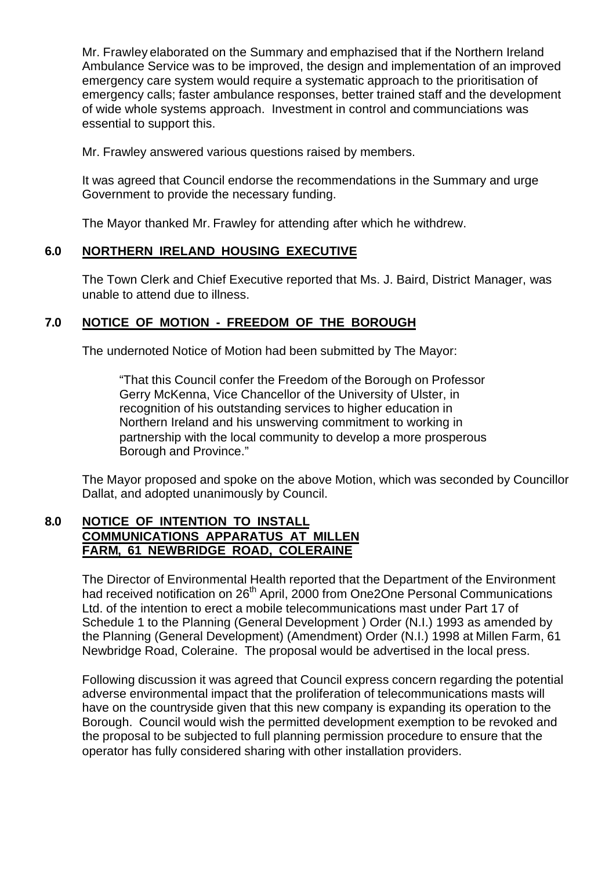Mr. Frawley elaborated on the Summary and emphazised that if the Northern Ireland Ambulance Service was to be improved, the design and implementation of an improved emergency care system would require a systematic approach to the prioritisation of emergency calls; faster ambulance responses, better trained staff and the development of wide whole systems approach. Investment in control and communciations was essential to support this.

Mr. Frawley answered various questions raised by members.

It was agreed that Council endorse the recommendations in the Summary and urge Government to provide the necessary funding.

The Mayor thanked Mr. Frawley for attending after which he withdrew.

#### **6.0 NORTHERN IRELAND HOUSING EXECUTIVE**

The Town Clerk and Chief Executive reported that Ms. J. Baird, District Manager, was unable to attend due to illness.

## **7.0 NOTICE OF MOTION - FREEDOM OF THE BOROUGH**

The undernoted Notice of Motion had been submitted by The Mayor:

"That this Council confer the Freedom of the Borough on Professor Gerry McKenna, Vice Chancellor of the University of Ulster, in recognition of his outstanding services to higher education in Northern Ireland and his unswerving commitment to working in partnership with the local community to develop a more prosperous Borough and Province."

The Mayor proposed and spoke on the above Motion, which was seconded by Councillor Dallat, and adopted unanimously by Council.

## **8.0 NOTICE OF INTENTION TO INSTALL COMMUNICATIONS APPARATUS AT MILLEN FARM, 61 NEWBRIDGE ROAD, COLERAINE**

The Director of Environmental Health reported that the Department of the Environment had received notification on 26<sup>th</sup> April, 2000 from One2One Personal Communications Ltd. of the intention to erect a mobile telecommunications mast under Part 17 of Schedule 1 to the Planning (General Development ) Order (N.I.) 1993 as amended by the Planning (General Development) (Amendment) Order (N.I.) 1998 at Millen Farm, 61 Newbridge Road, Coleraine. The proposal would be advertised in the local press.

Following discussion it was agreed that Council express concern regarding the potential adverse environmental impact that the proliferation of telecommunications masts will have on the countryside given that this new company is expanding its operation to the Borough. Council would wish the permitted development exemption to be revoked and the proposal to be subjected to full planning permission procedure to ensure that the operator has fully considered sharing with other installation providers.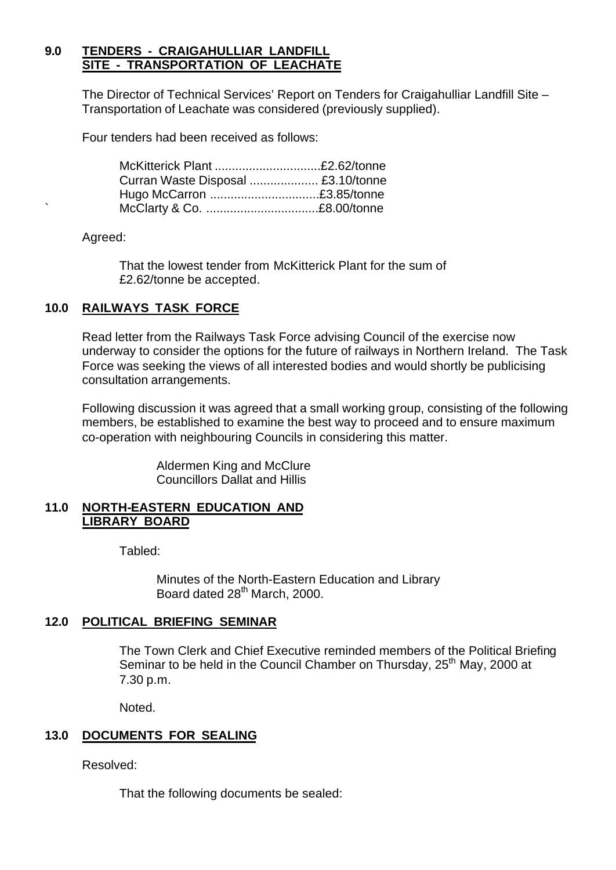### **9.0 TENDERS - CRAIGAHULLIAR LANDFILL SITE - TRANSPORTATION OF LEACHATE**

The Director of Technical Services' Report on Tenders for Craigahulliar Landfill Site – Transportation of Leachate was considered (previously supplied).

Four tenders had been received as follows:

| McKitterick Plant £2.62/tonne      |  |
|------------------------------------|--|
| Curran Waste Disposal  £3.10/tonne |  |
| Hugo McCarron £3.85/tonne          |  |
|                                    |  |

Agreed:

That the lowest tender from McKitterick Plant for the sum of £2.62/tonne be accepted.

## **10.0 RAILWAYS TASK FORCE**

Read letter from the Railways Task Force advising Council of the exercise now underway to consider the options for the future of railways in Northern Ireland. The Task Force was seeking the views of all interested bodies and would shortly be publicising consultation arrangements.

Following discussion it was agreed that a small working group, consisting of the following members, be established to examine the best way to proceed and to ensure maximum co-operation with neighbouring Councils in considering this matter.

> Aldermen King and McClure Councillors Dallat and Hillis

#### **11.0 NORTH-EASTERN EDUCATION AND LIBRARY BOARD**

Tabled:

Minutes of the North-Eastern Education and Library Board dated 28<sup>th</sup> March, 2000.

#### **12.0 POLITICAL BRIEFING SEMINAR**

The Town Clerk and Chief Executive reminded members of the Political Briefing Seminar to be held in the Council Chamber on Thursday, 25<sup>th</sup> May, 2000 at 7.30 p.m.

Noted.

## **13.0 DOCUMENTS FOR SEALING**

Resolved:

That the following documents be sealed: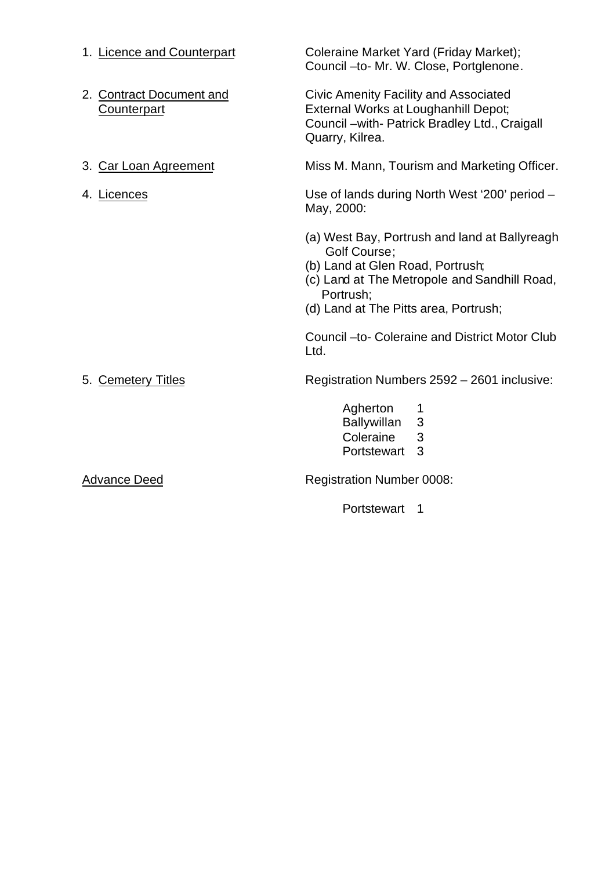| 1. Licence and Counterpart              | Coleraine Market Yard (Friday Market);<br>Council -to- Mr. W. Close, Portglenone.                                                                                                                       |
|-----------------------------------------|---------------------------------------------------------------------------------------------------------------------------------------------------------------------------------------------------------|
| 2. Contract Document and<br>Counterpart | <b>Civic Amenity Facility and Associated</b><br>External Works at Loughanhill Depot;<br>Council - with- Patrick Bradley Ltd., Craigall<br>Quarry, Kilrea.                                               |
| 3. Car Loan Agreement                   | Miss M. Mann, Tourism and Marketing Officer.                                                                                                                                                            |
| 4. Licences                             | Use of lands during North West '200' period -<br>May, 2000:                                                                                                                                             |
|                                         | (a) West Bay, Portrush and land at Ballyreagh<br>Golf Course;<br>(b) Land at Glen Road, Portrush;<br>(c) Land at The Metropole and Sandhill Road,<br>Portrush;<br>(d) Land at The Pitts area, Portrush; |
|                                         | Council - to- Coleraine and District Motor Club<br>Ltd.                                                                                                                                                 |
| 5. Cemetery Titles                      | Registration Numbers 2592 - 2601 inclusive:                                                                                                                                                             |
|                                         | Agherton<br>1<br>3<br><b>Ballywillan</b><br>Coleraine<br>3<br>3<br>Portstewart                                                                                                                          |
| <b>Advance Deed</b>                     | <b>Registration Number 0008:</b>                                                                                                                                                                        |
|                                         | Portstewart<br>1                                                                                                                                                                                        |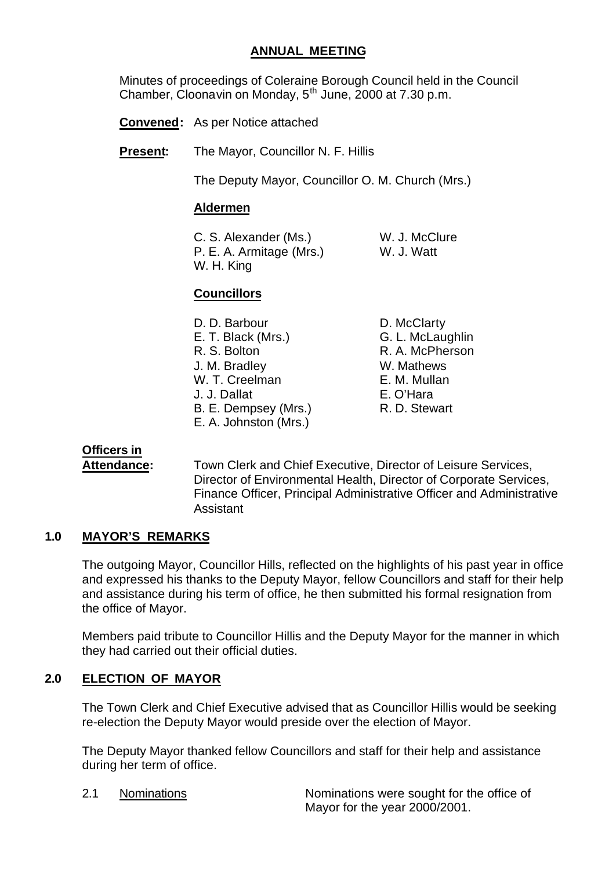### **ANNUAL MEETING**

Minutes of proceedings of Coleraine Borough Council held in the Council Chamber, Cloonavin on Monday,  $5<sup>th</sup>$  June, 2000 at 7.30 p.m.

**Convened:** As per Notice attached

**Present:** The Mayor, Councillor N. F. Hillis

The Deputy Mayor, Councillor O. M. Church (Mrs.)

#### **Aldermen**

C. S. Alexander (Ms.) W. J. McClure P. E. A. Armitage (Mrs.) W. J. Watt W. H. King

## **Councillors**

- D. D. Barbour D. McClarty E. T. Black (Mrs.) G. L. McLaughlin R. S. Bolton R. A. McPherson J. M. Bradley W. Mathews W. T. Creelman E. M. Mullan J. J. Dallat E. O'Hara B. E. Dempsey (Mrs.) R. D. Stewart E. A. Johnston (Mrs.)
- 

## **Officers in**

**Attendance:** Town Clerk and Chief Executive, Director of Leisure Services, Director of Environmental Health, Director of Corporate Services, Finance Officer, Principal Administrative Officer and Administrative Assistant

## **1.0 MAYOR'S REMARKS**

The outgoing Mayor, Councillor Hills, reflected on the highlights of his past year in office and expressed his thanks to the Deputy Mayor, fellow Councillors and staff for their help and assistance during his term of office, he then submitted his formal resignation from the office of Mayor.

Members paid tribute to Councillor Hillis and the Deputy Mayor for the manner in which they had carried out their official duties.

## **2.0 ELECTION OF MAYOR**

The Town Clerk and Chief Executive advised that as Councillor Hillis would be seeking re-election the Deputy Mayor would preside over the election of Mayor.

The Deputy Mayor thanked fellow Councillors and staff for their help and assistance during her term of office.

2.1 Nominations Nominations were sought for the office of Mayor for the year 2000/2001.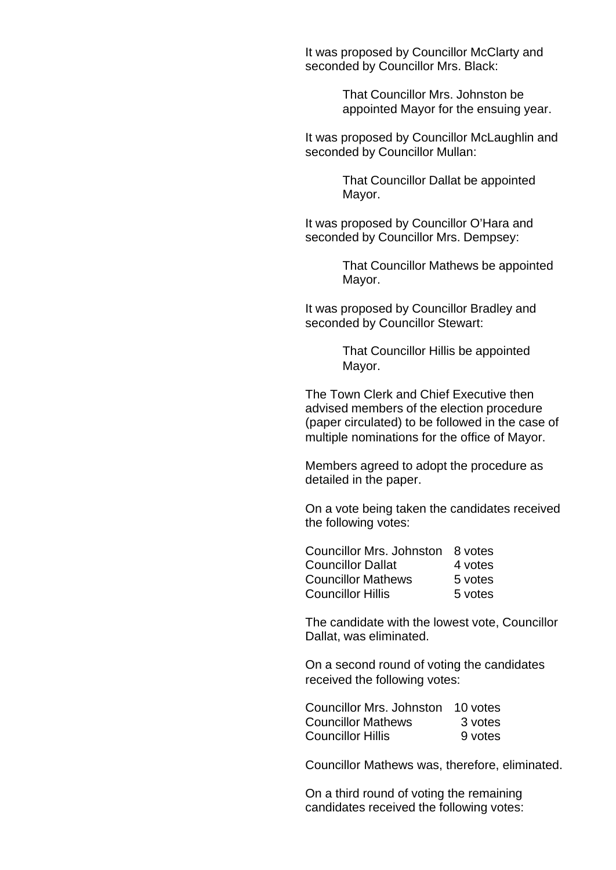It was proposed by Councillor McClarty and seconded by Councillor Mrs. Black:

> That Councillor Mrs. Johnston be appointed Mayor for the ensuing year.

It was proposed by Councillor McLaughlin and seconded by Councillor Mullan:

> That Councillor Dallat be appointed Mayor.

It was proposed by Councillor O'Hara and seconded by Councillor Mrs. Dempsey:

> That Councillor Mathews be appointed Mayor.

It was proposed by Councillor Bradley and seconded by Councillor Stewart:

> That Councillor Hillis be appointed Mayor.

The Town Clerk and Chief Executive then advised members of the election procedure (paper circulated) to be followed in the case of multiple nominations for the office of Mayor.

Members agreed to adopt the procedure as detailed in the paper.

On a vote being taken the candidates received the following votes:

| Councillor Mrs. Johnston 8 votes |         |
|----------------------------------|---------|
| <b>Councillor Dallat</b>         | 4 votes |
| <b>Councillor Mathews</b>        | 5 votes |
| <b>Councillor Hillis</b>         | 5 votes |

The candidate with the lowest vote, Councillor Dallat, was eliminated.

On a second round of voting the candidates received the following votes:

| Councillor Mrs. Johnston 10 votes |         |
|-----------------------------------|---------|
| <b>Councillor Mathews</b>         | 3 votes |
| <b>Councillor Hillis</b>          | 9 votes |

Councillor Mathews was, therefore, eliminated.

On a third round of voting the remaining candidates received the following votes: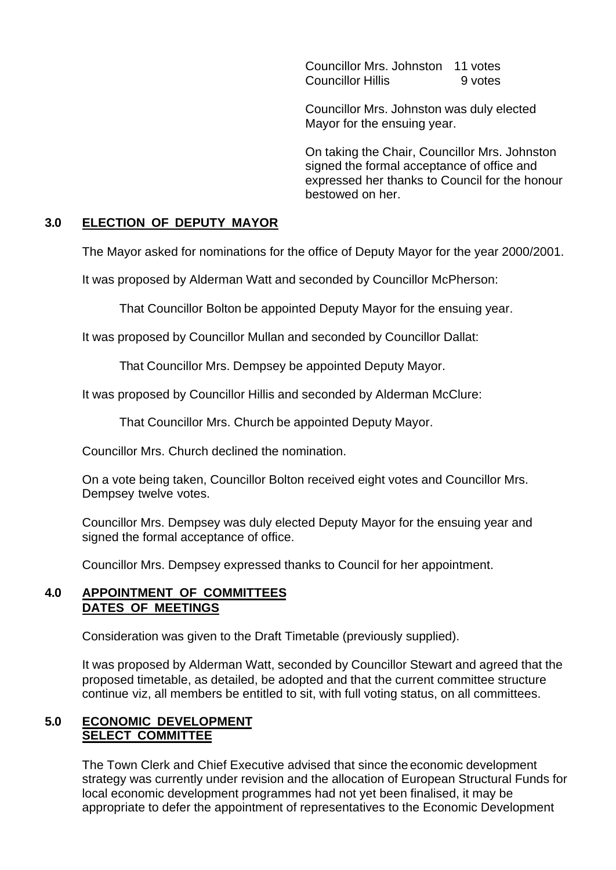Councillor Mrs. Johnston 11 votes Councillor Hillis 9 votes

Councillor Mrs. Johnston was duly elected Mayor for the ensuing year.

On taking the Chair, Councillor Mrs. Johnston signed the formal acceptance of office and expressed her thanks to Council for the honour bestowed on her.

## **3.0 ELECTION OF DEPUTY MAYOR**

The Mayor asked for nominations for the office of Deputy Mayor for the year 2000/2001.

It was proposed by Alderman Watt and seconded by Councillor McPherson:

That Councillor Bolton be appointed Deputy Mayor for the ensuing year.

It was proposed by Councillor Mullan and seconded by Councillor Dallat:

That Councillor Mrs. Dempsey be appointed Deputy Mayor.

It was proposed by Councillor Hillis and seconded by Alderman McClure:

That Councillor Mrs. Church be appointed Deputy Mayor.

Councillor Mrs. Church declined the nomination.

On a vote being taken, Councillor Bolton received eight votes and Councillor Mrs. Dempsey twelve votes.

Councillor Mrs. Dempsey was duly elected Deputy Mayor for the ensuing year and signed the formal acceptance of office.

Councillor Mrs. Dempsey expressed thanks to Council for her appointment.

#### **4.0 APPOINTMENT OF COMMITTEES DATES OF MEETINGS**

Consideration was given to the Draft Timetable (previously supplied).

It was proposed by Alderman Watt, seconded by Councillor Stewart and agreed that the proposed timetable, as detailed, be adopted and that the current committee structure continue viz, all members be entitled to sit, with full voting status, on all committees.

#### **5.0 ECONOMIC DEVELOPMENT SELECT COMMITTEE**

The Town Clerk and Chief Executive advised that since the economic development strategy was currently under revision and the allocation of European Structural Funds for local economic development programmes had not yet been finalised, it may be appropriate to defer the appointment of representatives to the Economic Development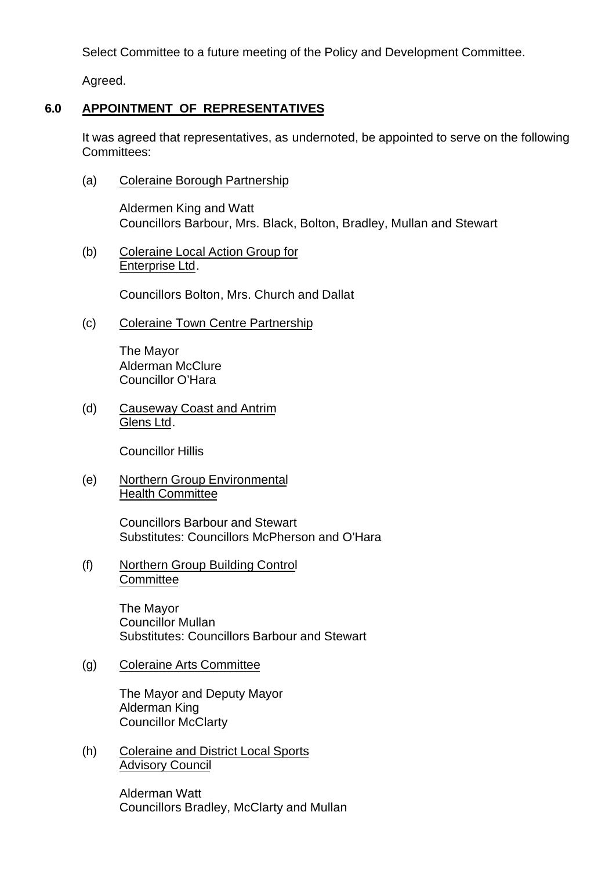Select Committee to a future meeting of the Policy and Development Committee.

Agreed.

# **6.0 APPOINTMENT OF REPRESENTATIVES**

It was agreed that representatives, as undernoted, be appointed to serve on the following Committees:

(a) Coleraine Borough Partnership

Aldermen King and Watt Councillors Barbour, Mrs. Black, Bolton, Bradley, Mullan and Stewart

(b) Coleraine Local Action Group for Enterprise Ltd.

Councillors Bolton, Mrs. Church and Dallat

(c) Coleraine Town Centre Partnership

The Mayor Alderman McClure Councillor O'Hara

(d) Causeway Coast and Antrim Glens Ltd.

Councillor Hillis

(e) Northern Group Environmental Health Committee

> Councillors Barbour and Stewart Substitutes: Councillors McPherson and O'Hara

(f) Northern Group Building Control **Committee** 

> The Mayor Councillor Mullan Substitutes: Councillors Barbour and Stewart

## (g) Coleraine Arts Committee

The Mayor and Deputy Mayor Alderman King Councillor McClarty

(h) Coleraine and District Local Sports Advisory Council

> Alderman Watt Councillors Bradley, McClarty and Mullan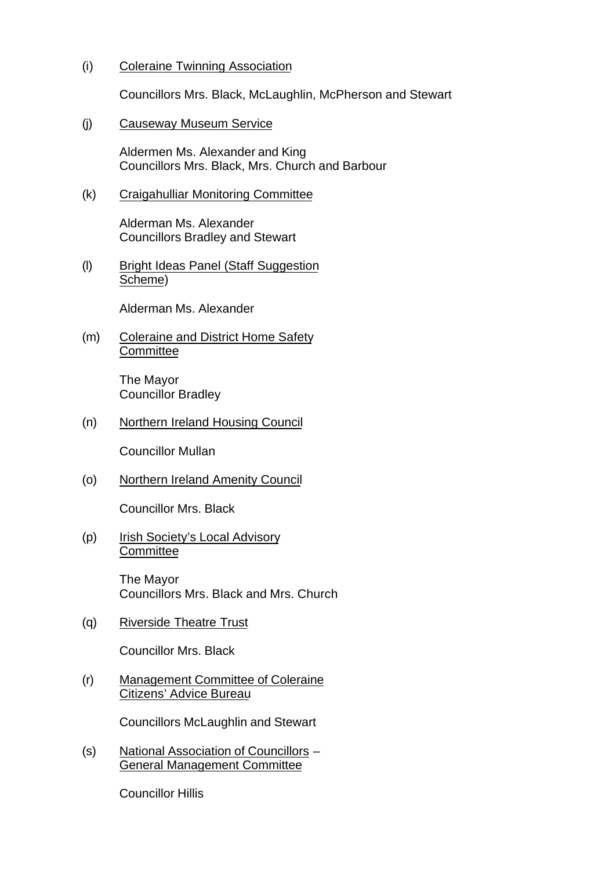#### (i) Coleraine Twinning Association

Councillors Mrs. Black, McLaughlin, McPherson and Stewart

#### (j) Causeway Museum Service

Aldermen Ms. Alexander and King Councillors Mrs. Black, Mrs. Church and Barbour

#### (k) Craigahulliar Monitoring Committee

Alderman Ms. Alexander Councillors Bradley and Stewart

(l) Bright Ideas Panel (Staff Suggestion Scheme)

Alderman Ms. Alexander

(m) Coleraine and District Home Safety **Committee** 

> The Mayor Councillor Bradley

(n) Northern Ireland Housing Council

Councillor Mullan

(o) Northern Ireland Amenity Council

Councillor Mrs. Black

(p) Irish Society's Local Advisory **Committee** 

> The Mayor Councillors Mrs. Black and Mrs. Church

(q) Riverside Theatre Trust

Councillor Mrs. Black

(r) Management Committee of Coleraine Citizens' Advice Bureau

Councillors McLaughlin and Stewart

(s) National Association of Councillors – General Management Committee

Councillor Hillis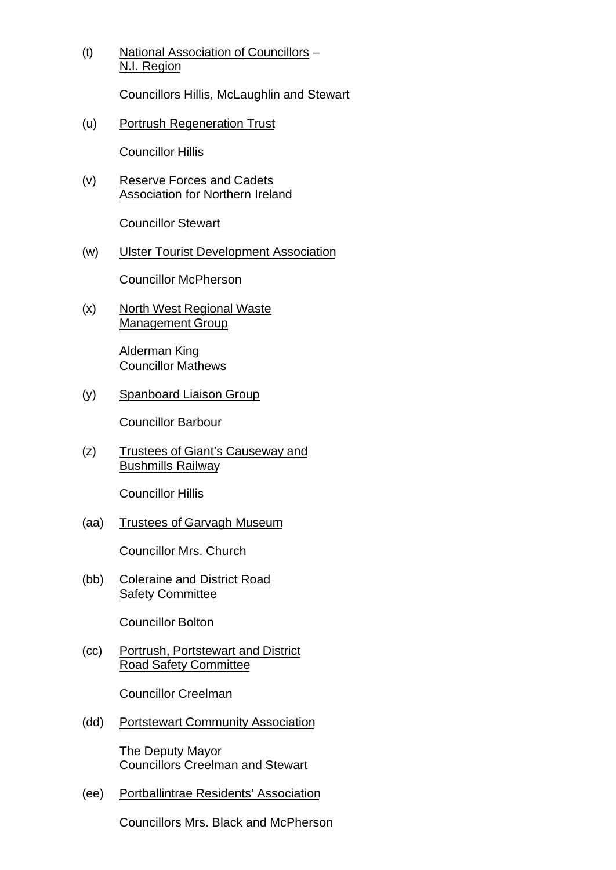(t) National Association of Councillors – N.I. Region

Councillors Hillis, McLaughlin and Stewart

(u) Portrush Regeneration Trust

Councillor Hillis

(v) Reserve Forces and Cadets Association for Northern Ireland

Councillor Stewart

(w) Ulster Tourist Development Association

Councillor McPherson

(x) North West Regional Waste Management Group

> Alderman King Councillor Mathews

(y) Spanboard Liaison Group

Councillor Barbour

(z) Trustees of Giant's Causeway and Bushmills Railway

Councillor Hillis

(aa) Trustees of Garvagh Museum

Councillor Mrs. Church

(bb) Coleraine and District Road Safety Committee

Councillor Bolton

(cc) Portrush, Portstewart and District Road Safety Committee

Councillor Creelman

(dd) Portstewart Community Association

The Deputy Mayor Councillors Creelman and Stewart

(ee) Portballintrae Residents' Association

Councillors Mrs. Black and McPherson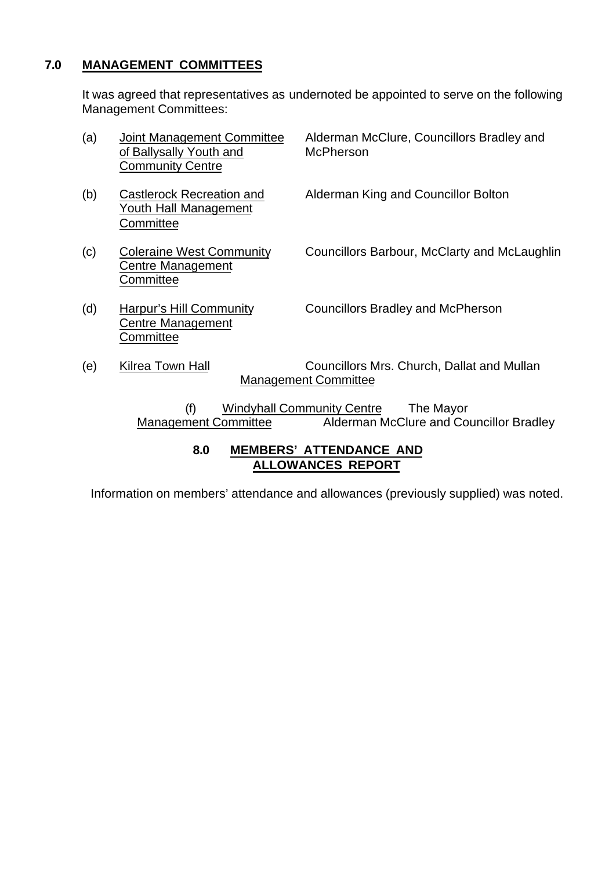## **7.0 MANAGEMENT COMMITTEES**

It was agreed that representatives as undernoted be appointed to serve on the following Management Committees:

| (a) | Joint Management Committee<br>of Ballysally Youth and<br>Community Centre | Alderman McClure, Councillors Bradley and<br><b>McPherson</b>                             |
|-----|---------------------------------------------------------------------------|-------------------------------------------------------------------------------------------|
| (b) | Castlerock Recreation and<br>Youth Hall Management<br>Committee           | Alderman King and Councillor Bolton                                                       |
| (c) | <b>Coleraine West Community</b><br>Centre Management<br>Committee         | Councillors Barbour, McClarty and McLaughlin                                              |
| (d) | <b>Harpur's Hill Community</b><br>Centre Management<br>Committee          | <b>Councillors Bradley and McPherson</b>                                                  |
| (e) | Kilrea Town Hall                                                          | Councillors Mrs. Church, Dallat and Mullan<br><b>Management Committee</b>                 |
|     | (f)<br><b>Management Committee</b>                                        | <b>Windyhall Community Centre</b><br>The Mayor<br>Alderman McClure and Councillor Bradley |

### **8.0 MEMBERS' ATTENDANCE AND ALLOWANCES REPORT**

Information on members' attendance and allowances (previously supplied) was noted.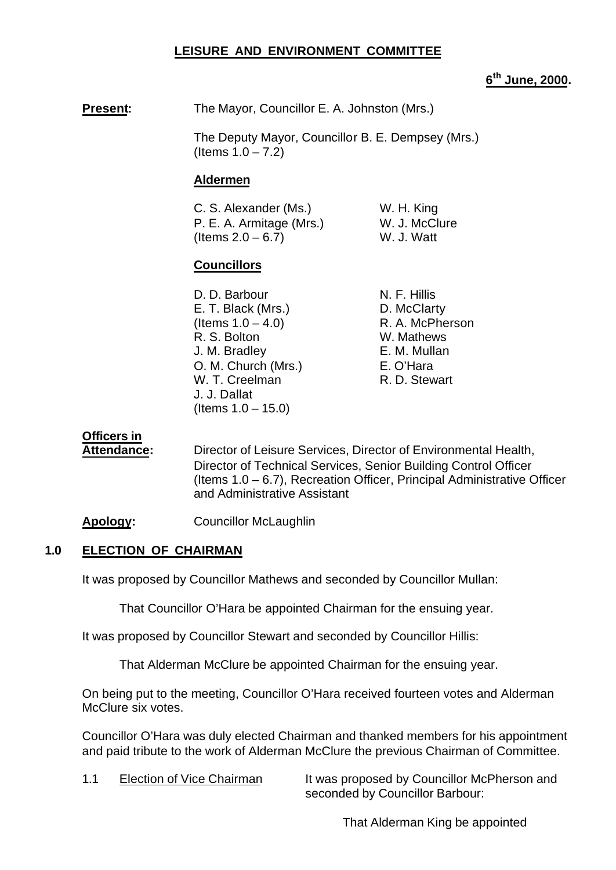## **LEISURE AND ENVIRONMENT COMMITTEE**

### **6 th June, 2000.**

**Present:** The Mayor, Councillor E. A. Johnston (Mrs.)

The Deputy Mayor, Councillor B. E. Dempsey (Mrs.) (Items  $1.0 - 7.2$ )

#### **Aldermen**

C. S. Alexander (Ms.) W. H. King P. E. A. Armitage (Mrs.) W. J. McClure  $($  Items  $2.0 - 6.7)$  W. J. Watt

## **Councillors**

D. D. Barbour N. F. Hillis E. T. Black (Mrs.) D. McClarty  $($ ltems  $1.0 - 4.0$ ) R. A. McPherson R. S. Bolton W. Mathews J. M. Bradley E. M. Mullan O. M. Church (Mrs.) E. O'Hara W. T. Creelman R. D. Stewart J. J. Dallat  $($  Items  $1.0 - 15.0)$ 

#### **Officers in**

**Attendance:** Director of Leisure Services, Director of Environmental Health, Director of Technical Services, Senior Building Control Officer (Items 1.0 – 6.7), Recreation Officer, Principal Administrative Officer and Administrative Assistant

**Apology:** Councillor McLaughlin

#### **1.0 ELECTION OF CHAIRMAN**

It was proposed by Councillor Mathews and seconded by Councillor Mullan:

That Councillor O'Hara be appointed Chairman for the ensuing year.

It was proposed by Councillor Stewart and seconded by Councillor Hillis:

That Alderman McClure be appointed Chairman for the ensuing year.

On being put to the meeting, Councillor O'Hara received fourteen votes and Alderman McClure six votes.

Councillor O'Hara was duly elected Chairman and thanked members for his appointment and paid tribute to the work of Alderman McClure the previous Chairman of Committee.

1.1 Election of Vice Chairman It was proposed by Councillor McPherson and seconded by Councillor Barbour:

That Alderman King be appointed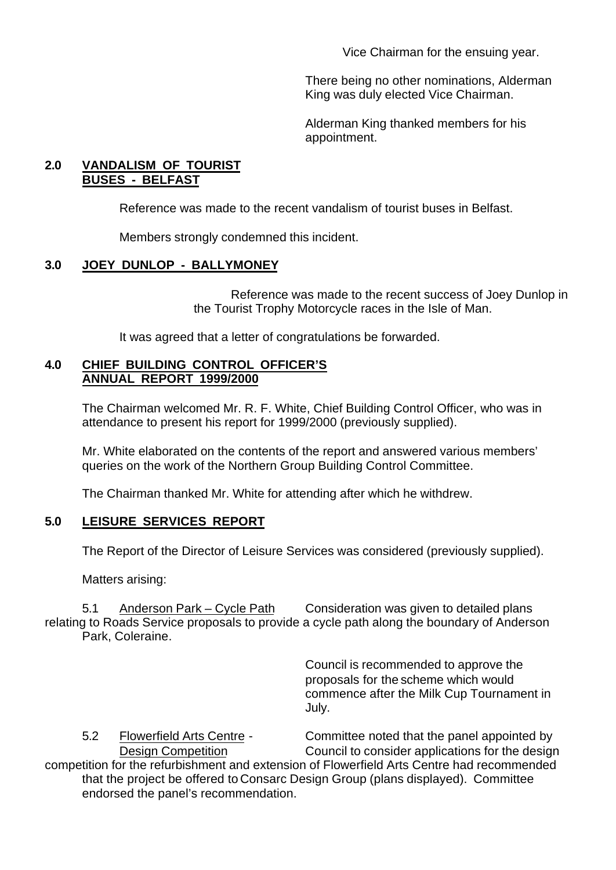Vice Chairman for the ensuing year.

There being no other nominations, Alderman King was duly elected Vice Chairman.

Alderman King thanked members for his appointment.

## **2.0 VANDALISM OF TOURIST BUSES - BELFAST**

Reference was made to the recent vandalism of tourist buses in Belfast.

Members strongly condemned this incident.

## **3.0 JOEY DUNLOP - BALLYMONEY**

Reference was made to the recent success of Joey Dunlop in the Tourist Trophy Motorcycle races in the Isle of Man.

It was agreed that a letter of congratulations be forwarded.

#### **4.0 CHIEF BUILDING CONTROL OFFICER'S ANNUAL REPORT 1999/2000**

The Chairman welcomed Mr. R. F. White, Chief Building Control Officer, who was in attendance to present his report for 1999/2000 (previously supplied).

Mr. White elaborated on the contents of the report and answered various members' queries on the work of the Northern Group Building Control Committee.

The Chairman thanked Mr. White for attending after which he withdrew.

## **5.0 LEISURE SERVICES REPORT**

The Report of the Director of Leisure Services was considered (previously supplied).

Matters arising:

5.1 Anderson Park – Cycle Path Consideration was given to detailed plans relating to Roads Service proposals to provide a cycle path along the boundary of Anderson Park, Coleraine.

> Council is recommended to approve the proposals for the scheme which would commence after the Milk Cup Tournament in July.

5.2 Flowerfield Arts Centre - Committee noted that the panel appointed by Design Competition Council to consider applications for the design competition for the refurbishment and extension of Flowerfield Arts Centre had recommended that the project be offered to Consarc Design Group (plans displayed). Committee endorsed the panel's recommendation.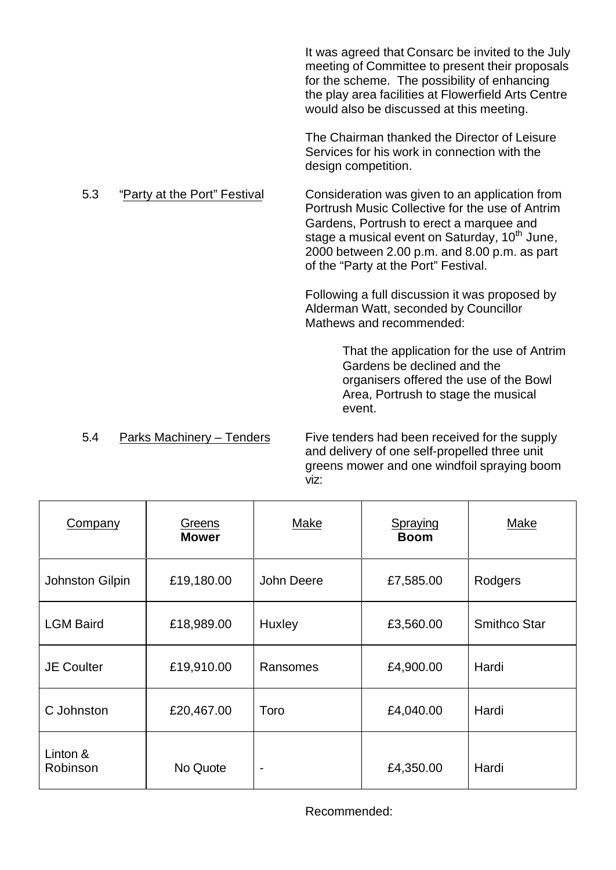It was agreed that Consarc be invited to the July meeting of Committee to present their proposals for the scheme. The possibility of enhancing the play area facilities at Flowerfield Arts Centre would also be discussed at this meeting.

The Chairman thanked the Director of Leisure Services for his work in connection with the design competition.

#### 5.3 "Party at the Port" Festival Consideration was given to an application from

Portrush Music Collective for the use of Antrim Gardens, Portrush to erect a marquee and stage a musical event on Saturday, 10<sup>th</sup> June, 2000 between 2.00 p.m. and 8.00 p.m. as part of the "Party at the Port" Festival.

Following a full discussion it was proposed by Alderman Watt, seconded by Councillor Mathews and recommended:

> That the application for the use of Antrim Gardens be declined and the organisers offered the use of the Bowl Area, Portrush to stage the musical event.

5.4 Parks Machinery – Tenders Five tenders had been received for the supply and delivery of one self-propelled three unit greens mower and one windfoil spraying boom viz:

| Company              | Greens<br><b>Mower</b> | <b>Make</b> | Spraying<br><b>Boom</b> | <b>Make</b>         |
|----------------------|------------------------|-------------|-------------------------|---------------------|
| Johnston Gilpin      | £19,180.00             | John Deere  | £7,585.00               | Rodgers             |
| <b>LGM Baird</b>     | £18,989.00             | Huxley      | £3,560.00               | <b>Smithco Star</b> |
| <b>JE Coulter</b>    | £19,910.00             | Ransomes    | £4,900.00               | Hardi               |
| C Johnston           | £20,467.00             | Toro        | £4,040.00               | Hardi               |
| Linton &<br>Robinson | No Quote               |             | £4,350.00               | Hardi               |

Recommended: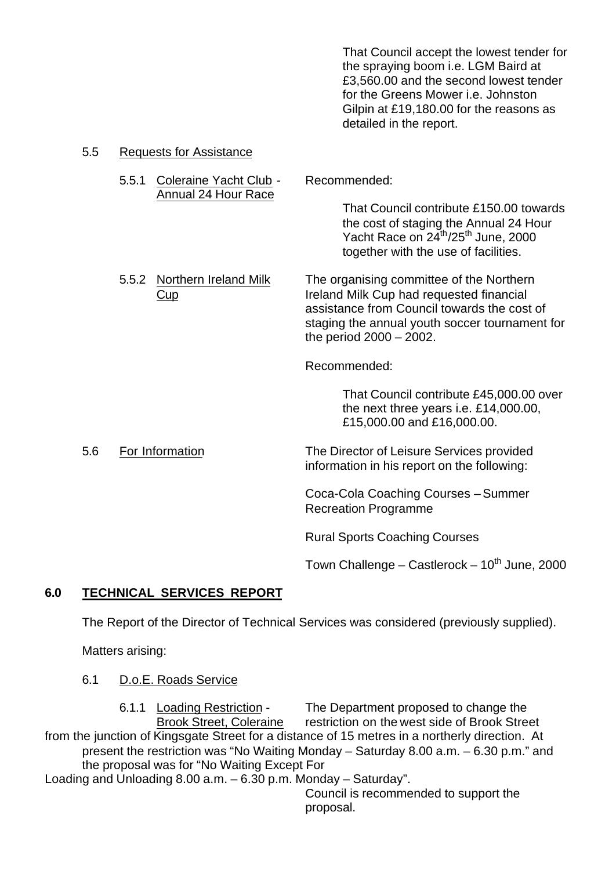That Council accept the lowest tender for the spraying boom i.e. LGM Baird at £3,560.00 and the second lowest tender for the Greens Mower i.e. Johnston Gilpin at £19,180.00 for the reasons as detailed in the report.

Yacht Race on 24<sup>th</sup>/25<sup>th</sup> June, 2000 together with the use of facilities.

#### 5.5 Requests for Assistance

- 5.5.1 Coleraine Yacht Club Recommended: Annual 24 Hour Race That Council contribute £150.00 towards the cost of staging the Annual 24 Hour
- 5.5.2 Northern Ireland Milk The organising committee of the Northern Cup Ireland Milk Cup had requested financial assistance from Council towards the cost of staging the annual youth soccer tournament for the period 2000 – 2002.

Recommended:

That Council contribute £45,000.00 over the next three years i.e. £14,000.00, £15,000.00 and £16,000.00.

5.6 For Information The Director of Leisure Services provided information in his report on the following:

> Coca-Cola Coaching Courses – Summer Recreation Programme

Rural Sports Coaching Courses

Town Challenge – Castlerock –  $10<sup>th</sup>$  June, 2000

## **6.0 TECHNICAL SERVICES REPORT**

The Report of the Director of Technical Services was considered (previously supplied).

Matters arising:

#### 6.1 D.o.E. Roads Service

6.1.1 Loading Restriction - The Department proposed to change the Brook Street, Coleraine restriction on the west side of Brook Street from the junction of Kingsgate Street for a distance of 15 metres in a northerly direction. At present the restriction was "No Waiting Monday – Saturday 8.00 a.m. – 6.30 p.m." and the proposal was for "No Waiting Except For Loading and Unloading 8.00 a.m. – 6.30 p.m. Monday – Saturday".

> Council is recommended to support the proposal.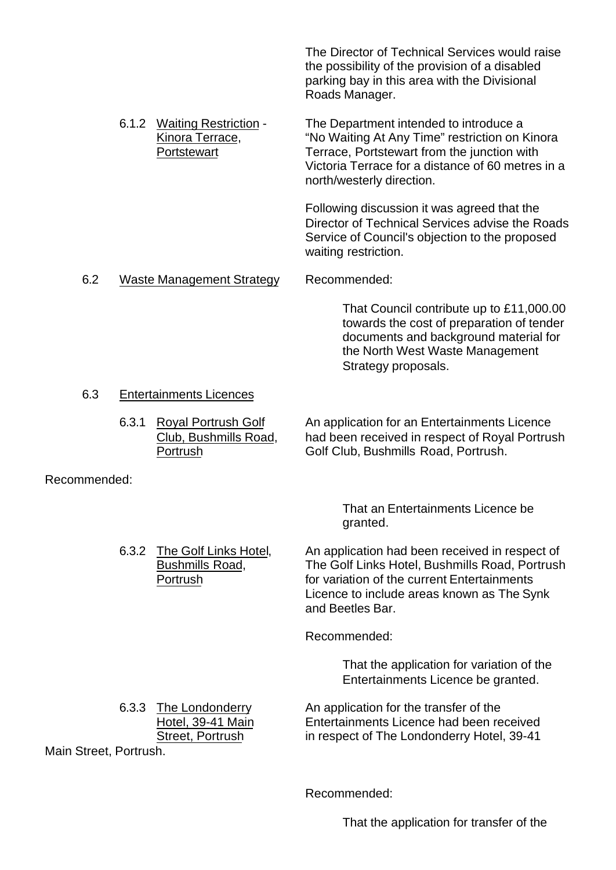The Director of Technical Services would raise the possibility of the provision of a disabled parking bay in this area with the Divisional Roads Manager.

6.1.2 Waiting Restriction - The Department intended to introduce a Kinora Terrace, "No Waiting At Any Time" restriction on Kinora Portstewart Terrace, Portstewart from the junction with Victoria Terrace for a distance of 60 metres in a north/westerly direction.

> Following discussion it was agreed that the Director of Technical Services advise the Roads Service of Council's objection to the proposed waiting restriction.

#### 6.2 Waste Management Strategy Recommended:

That Council contribute up to £11,000.00 towards the cost of preparation of tender documents and background material for the North West Waste Management Strategy proposals.

#### 6.3 Entertainments Licences

6.3.1 Royal Portrush Golf An application for an Entertainments Licence Club, Bushmills Road, had been received in respect of Royal Portrush Portrush Golf Club, Bushmills Road, Portrush.

Recommended:

That an Entertainments Licence be granted.

6.3.2 The Golf Links Hotel, An application had been received in respect of Bushmills Road, The Golf Links Hotel, Bushmills Road, Portrush Portrush **Fortrush for variation of the current Entertainments** Licence to include areas known as The Synk and Beetles Bar.

Recommended:

That the application for variation of the Entertainments Licence be granted.

6.3.3 The Londonderry An application for the transfer of the Hotel, 39-41 Main Entertainments Licence had been received Street, Portrush in respect of The Londonderry Hotel, 39-41

Main Street, Portrush.

Recommended:

That the application for transfer of the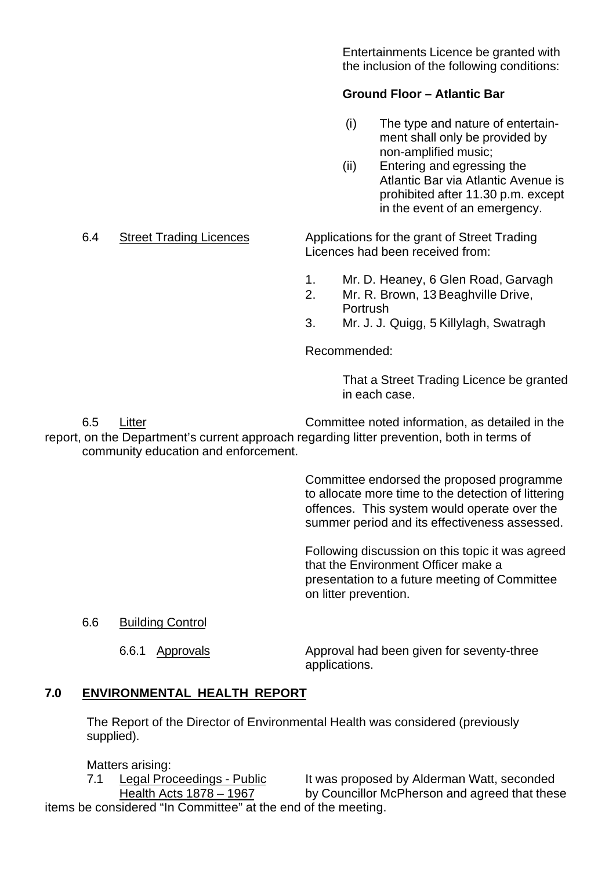Entertainments Licence be granted with the inclusion of the following conditions:

## **Ground Floor – Atlantic Bar**

- (i) The type and nature of entertain ment shall only be provided by non-amplified music;
- (ii) Entering and egressing the Atlantic Bar via Atlantic Avenue is prohibited after 11.30 p.m. except in the event of an emergency.

6.4 Street Trading Licences Applications for the grant of Street Trading Licences had been received from:

- 1. Mr. D. Heaney, 6 Glen Road, Garvagh
- 2. Mr. R. Brown, 13 Beaghville Drive, Portrush
- 3. Mr. J. J. Quigg, 5 Killylagh, Swatragh

Recommended:

That a Street Trading Licence be granted in each case.

6.5 Litter Committee noted information, as detailed in the report, on the Department's current approach regarding litter prevention, both in terms of community education and enforcement.

> Committee endorsed the proposed programme to allocate more time to the detection of littering offences. This system would operate over the summer period and its effectiveness assessed.

> Following discussion on this topic it was agreed that the Environment Officer make a presentation to a future meeting of Committee on litter prevention.

#### 6.6 Building Control

6.6.1 Approvals Approval had been given for seventy-three applications.

## **7.0 ENVIRONMENTAL HEALTH REPORT**

The Report of the Director of Environmental Health was considered (previously supplied).

Matters arising:

7.1 Legal Proceedings - Public It was proposed by Alderman Watt, seconded Health Acts 1878 – 1967 by Councillor McPherson and agreed that these

items be considered "In Committee" at the end of the meeting.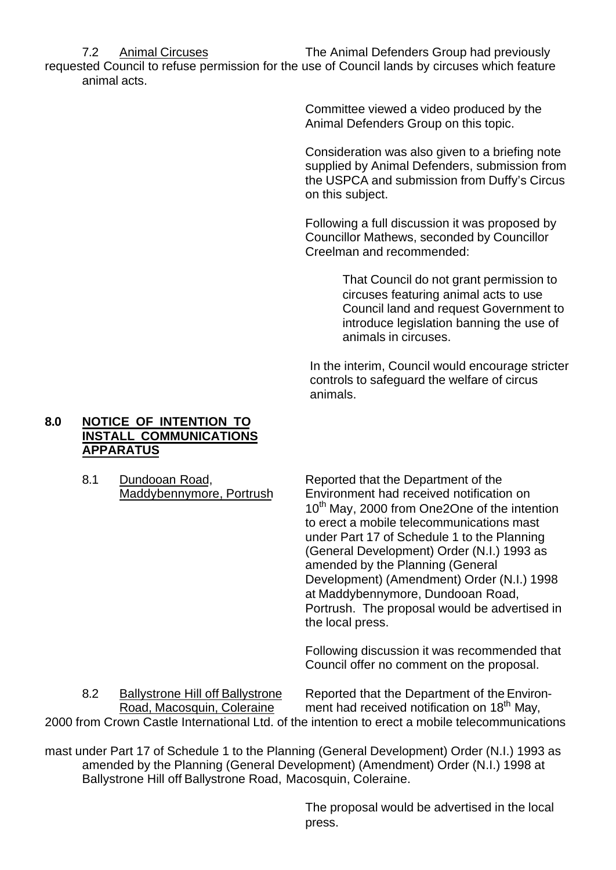7.2 Animal Circuses The Animal Defenders Group had previously requested Council to refuse permission for the use of Council lands by circuses which feature

animal acts.

Committee viewed a video produced by the Animal Defenders Group on this topic.

Consideration was also given to a briefing note supplied by Animal Defenders, submission from the USPCA and submission from Duffy's Circus on this subject.

Following a full discussion it was proposed by Councillor Mathews, seconded by Councillor Creelman and recommended:

> That Council do not grant permission to circuses featuring animal acts to use Council land and request Government to introduce legislation banning the use of animals in circuses.

In the interim, Council would encourage stricter controls to safeguard the welfare of circus animals.

## **8.0 NOTICE OF INTENTION TO INSTALL COMMUNICATIONS APPARATUS**

8.1 Dundooan Road, Reported that the Department of the Maddybennymore, Portrush Environment had received notification on 10<sup>th</sup> May, 2000 from One2One of the intention to erect a mobile telecommunications mast under Part 17 of Schedule 1 to the Planning (General Development) Order (N.I.) 1993 as amended by the Planning (General Development) (Amendment) Order (N.I.) 1998 at Maddybennymore, Dundooan Road, Portrush. The proposal would be advertised in the local press.

> Following discussion it was recommended that Council offer no comment on the proposal.

8.2 Ballystrone Hill off Ballystrone Reported that the Department of the Environ-<br>Road. Macosquin. Coleraine ment had received notification on 18<sup>th</sup> May, ment had received notification on 18<sup>th</sup> May. 2000 from Crown Castle International Ltd. of the intention to erect a mobile telecommunications

mast under Part 17 of Schedule 1 to the Planning (General Development) Order (N.I.) 1993 as amended by the Planning (General Development) (Amendment) Order (N.I.) 1998 at Ballystrone Hill off Ballystrone Road, Macosquin, Coleraine.

> The proposal would be advertised in the local press.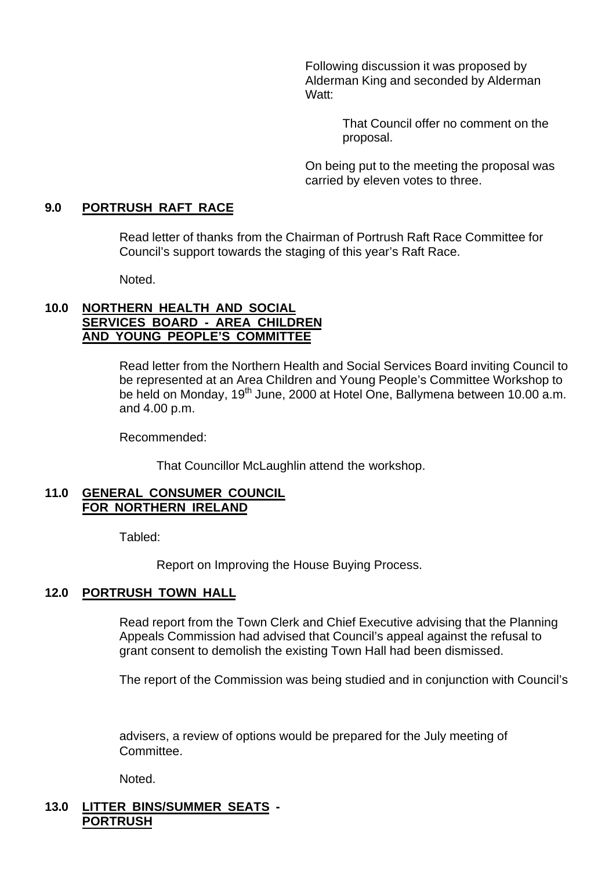Following discussion it was proposed by Alderman King and seconded by Alderman Watt:

> That Council offer no comment on the proposal.

On being put to the meeting the proposal was carried by eleven votes to three.

## **9.0 PORTRUSH RAFT RACE**

Read letter of thanks from the Chairman of Portrush Raft Race Committee for Council's support towards the staging of this year's Raft Race.

Noted.

#### **10.0 NORTHERN HEALTH AND SOCIAL SERVICES BOARD - AREA CHILDREN AND YOUNG PEOPLE'S COMMITTEE**

Read letter from the Northern Health and Social Services Board inviting Council to be represented at an Area Children and Young People's Committee Workshop to be held on Monday, 19<sup>th</sup> June, 2000 at Hotel One, Ballymena between 10.00 a.m. and 4.00 p.m.

Recommended:

That Councillor McLaughlin attend the workshop.

#### **11.0 GENERAL CONSUMER COUNCIL FOR NORTHERN IRELAND**

Tabled:

Report on Improving the House Buying Process.

#### **12.0 PORTRUSH TOWN HALL**

Read report from the Town Clerk and Chief Executive advising that the Planning Appeals Commission had advised that Council's appeal against the refusal to grant consent to demolish the existing Town Hall had been dismissed.

The report of the Commission was being studied and in conjunction with Council's

advisers, a review of options would be prepared for the July meeting of Committee.

Noted.

## **13.0 LITTER BINS/SUMMER SEATS - PORTRUSH**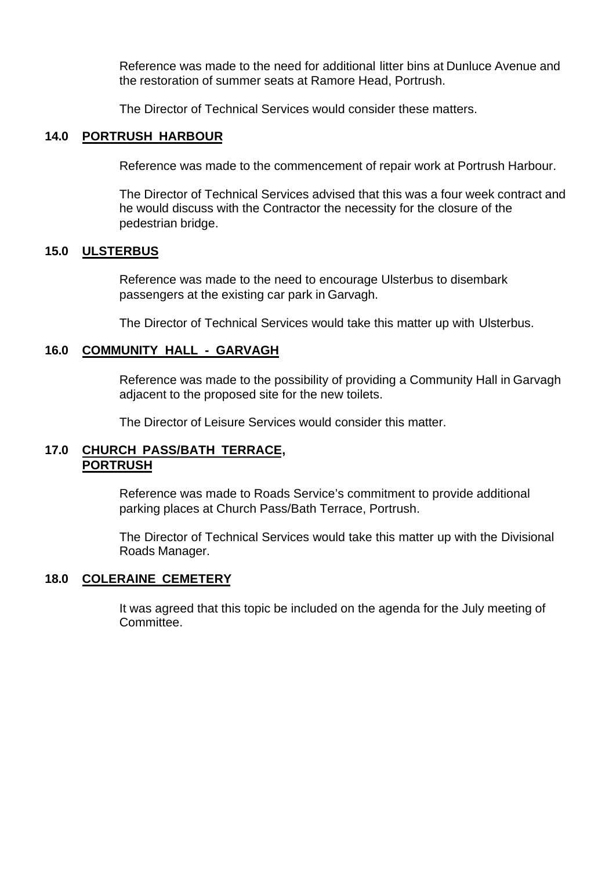Reference was made to the need for additional litter bins at Dunluce Avenue and the restoration of summer seats at Ramore Head, Portrush.

The Director of Technical Services would consider these matters.

#### **14.0 PORTRUSH HARBOUR**

Reference was made to the commencement of repair work at Portrush Harbour.

The Director of Technical Services advised that this was a four week contract and he would discuss with the Contractor the necessity for the closure of the pedestrian bridge.

#### **15.0 ULSTERBUS**

Reference was made to the need to encourage Ulsterbus to disembark passengers at the existing car park in Garvagh.

The Director of Technical Services would take this matter up with Ulsterbus.

#### **16.0 COMMUNITY HALL - GARVAGH**

Reference was made to the possibility of providing a Community Hall in Garvagh adjacent to the proposed site for the new toilets.

The Director of Leisure Services would consider this matter.

#### **17.0 CHURCH PASS/BATH TERRACE, PORTRUSH**

Reference was made to Roads Service's commitment to provide additional parking places at Church Pass/Bath Terrace, Portrush.

The Director of Technical Services would take this matter up with the Divisional Roads Manager.

#### **18.0 COLERAINE CEMETERY**

It was agreed that this topic be included on the agenda for the July meeting of Committee.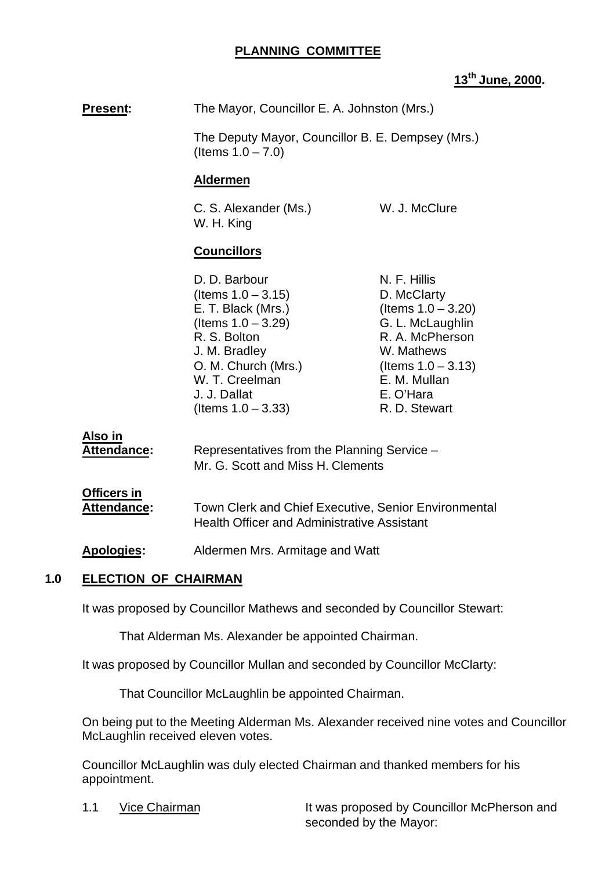### **PLANNING COMMITTEE**

### **13th June, 2000.**

**Present:** The Mayor, Councillor E. A. Johnston (Mrs.)

The Deputy Mayor, Councillor B. E. Dempsey (Mrs.) (Items 1.0 – 7.0)

#### **Aldermen**

C. S. Alexander (Ms.) W. J. McClure W. H. King

## **Councillors**

| N. F. Hillis          |
|-----------------------|
| D. McClarty           |
| (Items $1.0 - 3.20$ ) |
| G. L. McLaughlin      |
| R. A. McPherson       |
| W. Mathews            |
| (Items $1.0 - 3.13$ ) |
| E. M. Mullan          |
| E. O'Hara             |
| R. D. Stewart         |
|                       |

**Also in**

| Attendance: | Representatives from the Planning Service - |
|-------------|---------------------------------------------|
|             | Mr. G. Scott and Miss H. Clements           |

# **Officers in**

**Attendance:** Town Clerk and Chief Executive, Senior Environmental Health Officer and Administrative Assistant

**Apologies:** Aldermen Mrs. Armitage and Watt

#### **1.0 ELECTION OF CHAIRMAN**

It was proposed by Councillor Mathews and seconded by Councillor Stewart:

That Alderman Ms. Alexander be appointed Chairman.

It was proposed by Councillor Mullan and seconded by Councillor McClarty:

That Councillor McLaughlin be appointed Chairman.

On being put to the Meeting Alderman Ms. Alexander received nine votes and Councillor McLaughlin received eleven votes.

Councillor McLaughlin was duly elected Chairman and thanked members for his appointment.

1.1 Vice Chairman It was proposed by Councillor McPherson and seconded by the Mayor: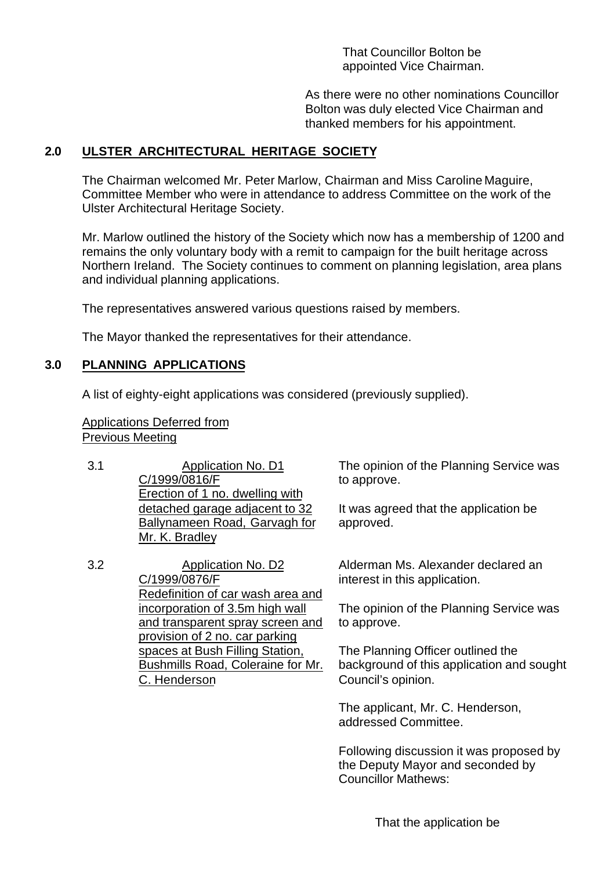That Councillor Bolton be appointed Vice Chairman.

As there were no other nominations Councillor Bolton was duly elected Vice Chairman and thanked members for his appointment.

## **2.0 ULSTER ARCHITECTURAL HERITAGE SOCIETY**

The Chairman welcomed Mr. Peter Marlow, Chairman and Miss Caroline Maguire, Committee Member who were in attendance to address Committee on the work of the Ulster Architectural Heritage Society.

Mr. Marlow outlined the history of the Society which now has a membership of 1200 and remains the only voluntary body with a remit to campaign for the built heritage across Northern Ireland. The Society continues to comment on planning legislation, area plans and individual planning applications.

The representatives answered various questions raised by members.

The Mayor thanked the representatives for their attendance.

## **3.0 PLANNING APPLICATIONS**

A list of eighty-eight applications was considered (previously supplied).

Applications Deferred from Previous Meeting

3.1 Application No. D1 C/1999/0816/F Erection of 1 no. dwelling with detached garage adjacent to 32 Ballynameen Road, Garvagh for Mr. K. Bradley

3.2 Application No. D2 C/1999/0876/F Redefinition of car wash area and incorporation of 3.5m high wall and transparent spray screen and provision of 2 no. car parking spaces at Bush Filling Station, Bushmills Road, Coleraine for Mr. C. Henderson

The opinion of the Planning Service was to approve.

It was agreed that the application be approved.

Alderman Ms. Alexander declared an interest in this application.

The opinion of the Planning Service was to approve.

The Planning Officer outlined the background of this application and sought Council's opinion.

The applicant, Mr. C. Henderson, addressed Committee.

Following discussion it was proposed by the Deputy Mayor and seconded by Councillor Mathews: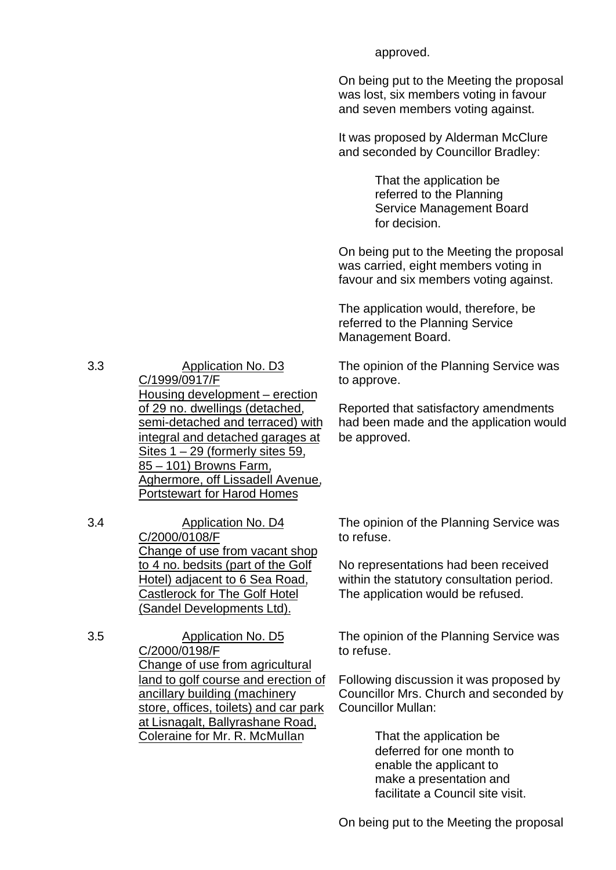On being put to the Meeting the proposal was lost, six members voting in favour and seven members voting against.

approved.

It was proposed by Alderman McClure and seconded by Councillor Bradley:

> That the application be referred to the Planning Service Management Board for decision.

On being put to the Meeting the proposal was carried, eight members voting in favour and six members voting against.

The application would, therefore, be referred to the Planning Service Management Board.

The opinion of the Planning Service was to approve.

Reported that satisfactory amendments had been made and the application would be approved.

3.3 Application No. D3 C/1999/0917/F Housing development – erection of 29 no. dwellings (detached, semi-detached and terraced) with integral and detached garages at Sites 1 – 29 (formerly sites 59, 85 – 101) Browns Farm, Aghermore, off Lissadell Avenue, Portstewart for Harod Homes

3.4 Application No. D4 C/2000/0108/F Change of use from vacant shop to 4 no. bedsits (part of the Golf Hotel) adjacent to 6 Sea Road, Castlerock for The Golf Hotel (Sandel Developments Ltd).

3.5 Application No. D5 C/2000/0198/F Change of use from agricultural land to golf course and erection of ancillary building (machinery store, offices, toilets) and car park at Lisnagalt, Ballyrashane Road, Coleraine for Mr. R. McMullan

The opinion of the Planning Service was to refuse.

No representations had been received within the statutory consultation period. The application would be refused.

The opinion of the Planning Service was to refuse.

Following discussion it was proposed by Councillor Mrs. Church and seconded by Councillor Mullan:

> That the application be deferred for one month to enable the applicant to make a presentation and facilitate a Council site visit.

On being put to the Meeting the proposal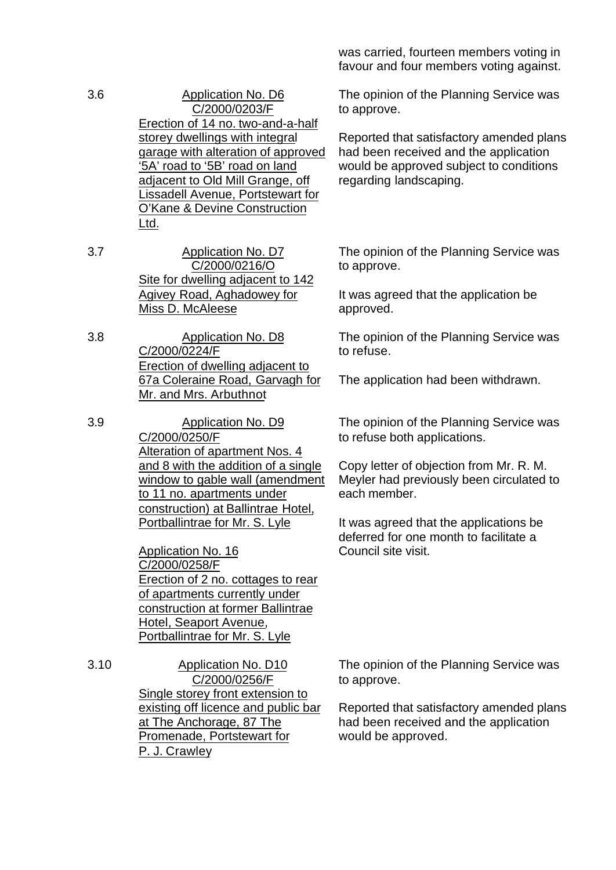- 3.6 Application No. D6 C/2000/0203/F Erection of 14 no. two-and-a-half storey dwellings with integral garage with alteration of approved '5A' road to '5B' road on land adjacent to Old Mill Grange, off Lissadell Avenue, Portstewart for O'Kane & Devine Construction Ltd.
- 3.7 Application No. D7 C/2000/0216/O Site for dwelling adjacent to 142 Agivey Road, Aghadowey for Miss D. McAleese
- 3.8 Application No. D8 C/2000/0224/F Erection of dwelling adjacent to 67a Coleraine Road, Garvagh for Mr. and Mrs. Arbuthnot

3.9 Application No. D9 C/2000/0250/F Alteration of apartment Nos. 4 and 8 with the addition of a single window to gable wall (amendment to 11 no. apartments under construction) at Ballintrae Hotel, Portballintrae for Mr. S. Lyle

> Application No. 16 C/2000/0258/F Erection of 2 no. cottages to rear of apartments currently under construction at former Ballintrae Hotel, Seaport Avenue, Portballintrae for Mr. S. Lyle

3.10 Application No. D10 C/2000/0256/F Single storey front extension to existing off licence and public bar at The Anchorage, 87 The Promenade, Portstewart for P. J. Crawley

was carried, fourteen members voting in favour and four members voting against.

The opinion of the Planning Service was to approve.

Reported that satisfactory amended plans had been received and the application would be approved subject to conditions regarding landscaping.

The opinion of the Planning Service was to approve.

It was agreed that the application be approved.

The opinion of the Planning Service was to refuse.

The application had been withdrawn.

The opinion of the Planning Service was to refuse both applications.

Copy letter of objection from Mr. R. M. Meyler had previously been circulated to each member.

It was agreed that the applications be deferred for one month to facilitate a Council site visit.

The opinion of the Planning Service was to approve.

Reported that satisfactory amended plans had been received and the application would be approved.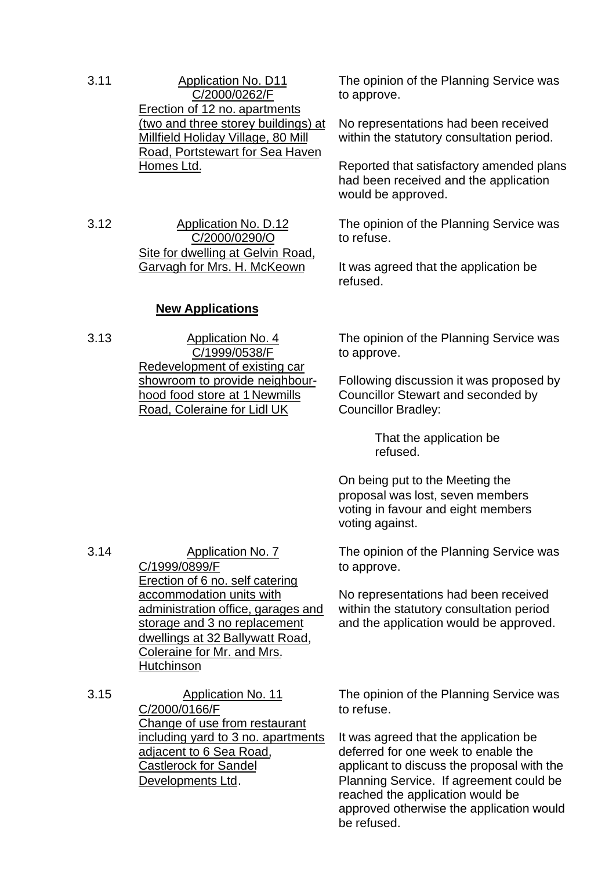3.11 Application No. D11 C/2000/0262/F Erection of 12 no. apartments (two and three storey buildings) at Millfield Holiday Village, 80 Mill Road, Portstewart for Sea Haven Homes Ltd.

3.12 Application No. D.12 C/2000/0290/O Site for dwelling at Gelvin Road, Garvagh for Mrs. H. McKeown

#### **New Applications**

3.13 Application No. 4 C/1999/0538/F Redevelopment of existing car showroom to provide neighbourhood food store at 1 Newmills Road, Coleraine for Lidl UK

The opinion of the Planning Service was to approve.

No representations had been received within the statutory consultation period.

Reported that satisfactory amended plans had been received and the application would be approved.

The opinion of the Planning Service was to refuse.

It was agreed that the application be refused.

The opinion of the Planning Service was to approve.

Following discussion it was proposed by Councillor Stewart and seconded by Councillor Bradley:

> That the application be refused.

On being put to the Meeting the proposal was lost, seven members voting in favour and eight members voting against.

The opinion of the Planning Service was to approve.

No representations had been received within the statutory consultation period and the application would be approved.

3.14 Application No. 7 C/1999/0899/F Erection of 6 no. self catering accommodation units with administration office, garages and storage and 3 no replacement dwellings at 32 Ballywatt Road, Coleraine for Mr. and Mrs. **Hutchinson** 

3.15 Application No. 11 C/2000/0166/F Change of use from restaurant including yard to 3 no. apartments adjacent to 6 Sea Road, Castlerock for Sandel Developments Ltd.

The opinion of the Planning Service was to refuse.

It was agreed that the application be deferred for one week to enable the applicant to discuss the proposal with the Planning Service. If agreement could be reached the application would be approved otherwise the application would be refused.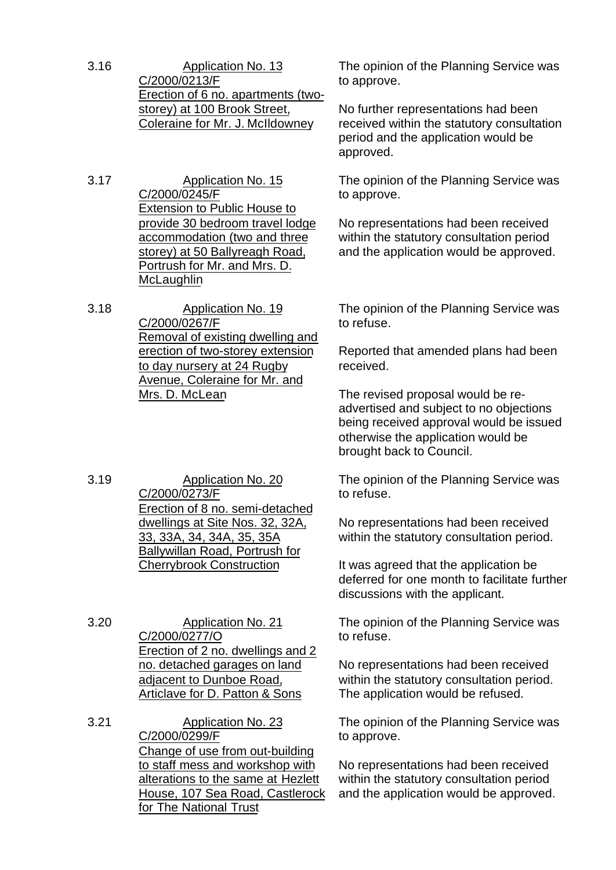3.16 Application No. 13 C/2000/0213/F Erection of 6 no. apartments (twostorey) at 100 Brook Street, Coleraine for Mr. J. McIldowney

3.17 Application No. 15 C/2000/0245/F Extension to Public House to provide 30 bedroom travel lodge accommodation (two and three storey) at 50 Ballyreagh Road, Portrush for Mr. and Mrs. D. **McLaughlin** 

3.18 Application No. 19 C/2000/0267/F Removal of existing dwelling and erection of two-storey extension to day nursery at 24 Rugby Avenue, Coleraine for Mr. and Mrs. D. McLean

3.19 Application No. 20 C/2000/0273/F Erection of 8 no. semi-detached dwellings at Site Nos. 32, 32A, 33, 33A, 34, 34A, 35, 35A Ballywillan Road, Portrush for Cherrybrook Construction

3.20 Application No. 21 C/2000/0277/O Erection of 2 no. dwellings and 2 no. detached garages on land adjacent to Dunboe Road, Articlave for D. Patton & Sons

3.21 Application No. 23 C/2000/0299/F Change of use from out-building to staff mess and workshop with alterations to the same at Hezlett House, 107 Sea Road, Castlerock for The National Trust

The opinion of the Planning Service was to approve.

No further representations had been received within the statutory consultation period and the application would be approved.

The opinion of the Planning Service was to approve.

No representations had been received within the statutory consultation period and the application would be approved.

The opinion of the Planning Service was to refuse.

Reported that amended plans had been received.

The revised proposal would be readvertised and subject to no objections being received approval would be issued otherwise the application would be brought back to Council.

The opinion of the Planning Service was to refuse.

No representations had been received within the statutory consultation period.

It was agreed that the application be deferred for one month to facilitate further discussions with the applicant.

The opinion of the Planning Service was to refuse.

No representations had been received within the statutory consultation period. The application would be refused.

The opinion of the Planning Service was to approve.

No representations had been received within the statutory consultation period and the application would be approved.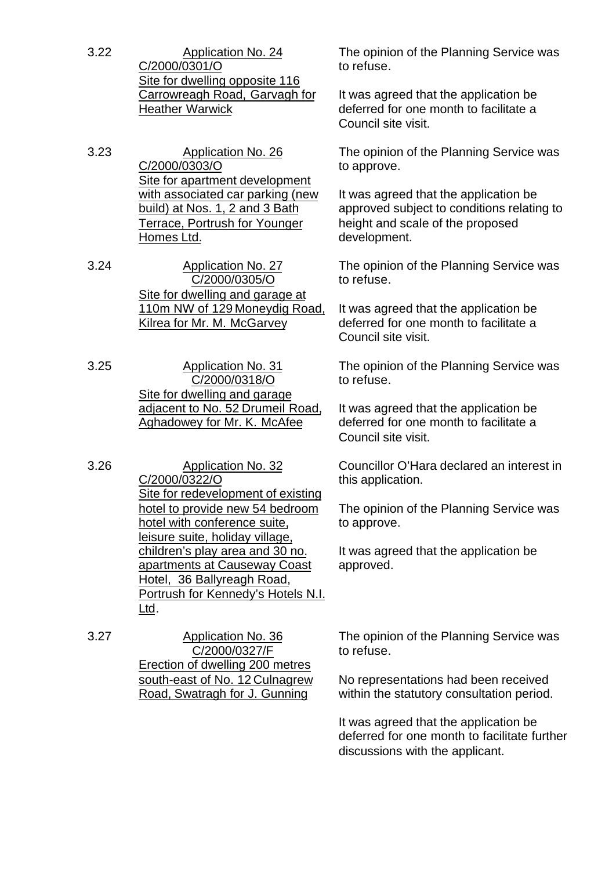3.22 Application No. 24 C/2000/0301/O Site for dwelling opposite 116 Carrowreagh Road, Garvagh for Heather Warwick

3.23 Application No. 26 C/2000/0303/O Site for apartment development with associated car parking (new build) at Nos. 1, 2 and 3 Bath Terrace, Portrush for Younger Homes Ltd.

3.24 Application No. 27 C/2000/0305/O Site for dwelling and garage at 110m NW of 129 Moneydig Road, Kilrea for Mr. M. McGarvey

3.25 Application No. 31 C/2000/0318/O Site for dwelling and garage adjacent to No. 52 Drumeil Road, Aghadowey for Mr. K. McAfee

3.26 Application No. 32 C/2000/0322/O Site for redevelopment of existing hotel to provide new 54 bedroom hotel with conference suite, leisure suite, holiday village, children's play area and 30 no. apartments at Causeway Coast Hotel, 36 Ballyreagh Road, Portrush for Kennedy's Hotels N.I. Ltd.

3.27 Application No. 36 C/2000/0327/F Erection of dwelling 200 metres south-east of No. 12 Culnagrew Road, Swatragh for J. Gunning

The opinion of the Planning Service was to refuse.

It was agreed that the application be deferred for one month to facilitate a Council site visit.

The opinion of the Planning Service was to approve.

It was agreed that the application be approved subject to conditions relating to height and scale of the proposed development.

The opinion of the Planning Service was to refuse.

It was agreed that the application be deferred for one month to facilitate a Council site visit.

The opinion of the Planning Service was to refuse.

It was agreed that the application be deferred for one month to facilitate a Council site visit.

Councillor O'Hara declared an interest in this application.

The opinion of the Planning Service was to approve.

It was agreed that the application be approved.

The opinion of the Planning Service was to refuse.

No representations had been received within the statutory consultation period.

It was agreed that the application be deferred for one month to facilitate further discussions with the applicant.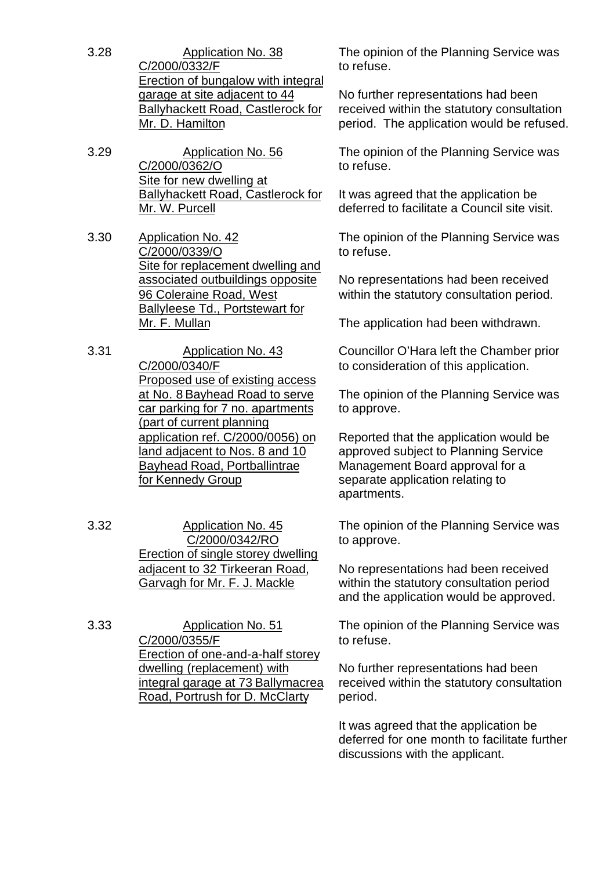- 3.28 Application No. 38 C/2000/0332/F Erection of bungalow with integral garage at site adjacent to 44 Ballyhackett Road, Castlerock for Mr. D. Hamilton
- 3.29 Application No. 56 C/2000/0362/O Site for new dwelling at Ballyhackett Road, Castlerock for Mr. W. Purcell
- 3.30 Application No. 42 C/2000/0339/O Site for replacement dwelling and associated outbuildings opposite 96 Coleraine Road, West Ballyleese Td., Portstewart for Mr. F. Mullan
- 3.31 Application No. 43 C/2000/0340/F Proposed use of existing access at No. 8 Bayhead Road to serve car parking for 7 no. apartments (part of current planning application ref. C/2000/0056) on land adjacent to Nos. 8 and 10 Bayhead Road, Portballintrae for Kennedy Group
- 3.32 Application No. 45 C/2000/0342/RO Erection of single storey dwelling adjacent to 32 Tirkeeran Road, Garvagh for Mr. F. J. Mackle

3.33 Application No. 51 C/2000/0355/F Erection of one-and-a-half storey dwelling (replacement) with integral garage at 73 Ballymacrea Road, Portrush for D. McClarty

The opinion of the Planning Service was to refuse.

No further representations had been received within the statutory consultation period. The application would be refused.

The opinion of the Planning Service was to refuse.

It was agreed that the application be deferred to facilitate a Council site visit.

The opinion of the Planning Service was to refuse.

No representations had been received within the statutory consultation period.

The application had been withdrawn.

Councillor O'Hara left the Chamber prior to consideration of this application.

The opinion of the Planning Service was to approve.

Reported that the application would be approved subject to Planning Service Management Board approval for a separate application relating to apartments.

The opinion of the Planning Service was to approve.

No representations had been received within the statutory consultation period and the application would be approved.

The opinion of the Planning Service was to refuse.

No further representations had been received within the statutory consultation period.

It was agreed that the application be deferred for one month to facilitate further discussions with the applicant.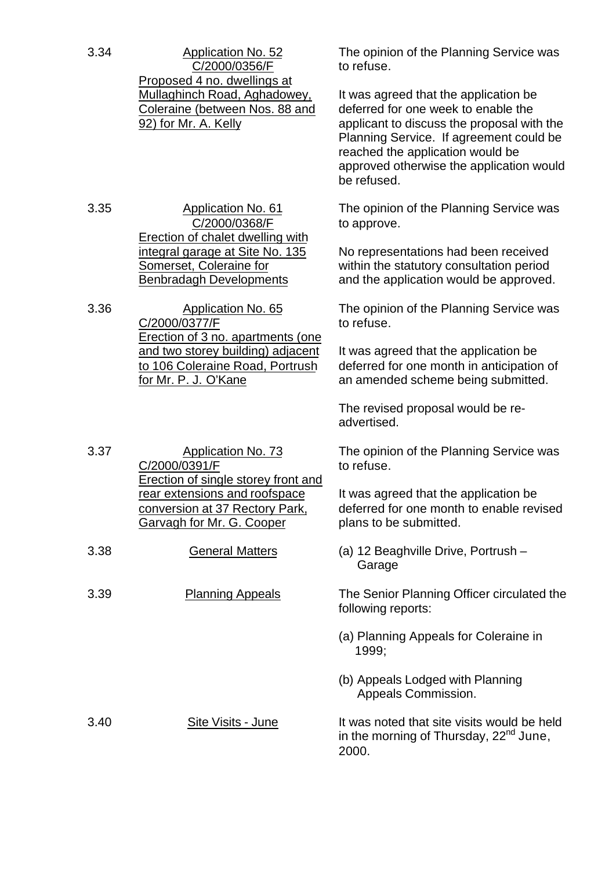| 3.34 | <b>Application No. 52</b><br>C/2000/0356/F                                                                                                 | The opinion of the Planning Service was<br>to refuse.                                                                                                                                                                                                                |
|------|--------------------------------------------------------------------------------------------------------------------------------------------|----------------------------------------------------------------------------------------------------------------------------------------------------------------------------------------------------------------------------------------------------------------------|
|      | Proposed 4 no. dwellings at<br><b>Mullaghinch Road, Aghadowey,</b><br>Coleraine (between Nos. 88 and<br>92) for Mr. A. Kelly               | It was agreed that the application be<br>deferred for one week to enable the<br>applicant to discuss the proposal with the<br>Planning Service. If agreement could be<br>reached the application would be<br>approved otherwise the application would<br>be refused. |
| 3.35 | <b>Application No. 61</b><br>C/2000/0368/F<br>Erection of chalet dwelling with                                                             | The opinion of the Planning Service was<br>to approve.                                                                                                                                                                                                               |
|      | <u>integral garage at Site No. 135</u><br>Somerset, Coleraine for<br><b>Benbradagh Developments</b>                                        | No representations had been received<br>within the statutory consultation period<br>and the application would be approved.                                                                                                                                           |
| 3.36 | Application No. 65<br>C/2000/0377/F                                                                                                        | The opinion of the Planning Service was<br>to refuse.                                                                                                                                                                                                                |
|      | Erection of 3 no. apartments (one<br>and two storey building) adjacent<br>to 106 Coleraine Road, Portrush<br><u>for Mr. P. J. O'Kane</u>   | It was agreed that the application be<br>deferred for one month in anticipation of<br>an amended scheme being submitted.                                                                                                                                             |
|      |                                                                                                                                            | The revised proposal would be re-<br>advertised.                                                                                                                                                                                                                     |
| 3.37 | <b>Application No. 73</b><br>C/2000/0391/F                                                                                                 | The opinion of the Planning Service was<br>to refuse.                                                                                                                                                                                                                |
|      | Erection of single storey front and<br><u>rear extensions and roofspace</u><br>conversion at 37 Rectory Park,<br>Garvagh for Mr. G. Cooper | It was agreed that the application be<br>deferred for one month to enable revised<br>plans to be submitted.                                                                                                                                                          |
| 3.38 | <b>General Matters</b>                                                                                                                     | (a) 12 Beaghville Drive, Portrush -<br>Garage                                                                                                                                                                                                                        |
| 3.39 | <b>Planning Appeals</b>                                                                                                                    | The Senior Planning Officer circulated the<br>following reports:                                                                                                                                                                                                     |
|      |                                                                                                                                            | (a) Planning Appeals for Coleraine in<br>1999;                                                                                                                                                                                                                       |
|      |                                                                                                                                            | (b) Appeals Lodged with Planning<br>Appeals Commission.                                                                                                                                                                                                              |
| 3.40 | <b>Site Visits - June</b>                                                                                                                  | It was noted that site visits would be held<br>in the morning of Thursday, 22 <sup>nd</sup> June,<br>2000.                                                                                                                                                           |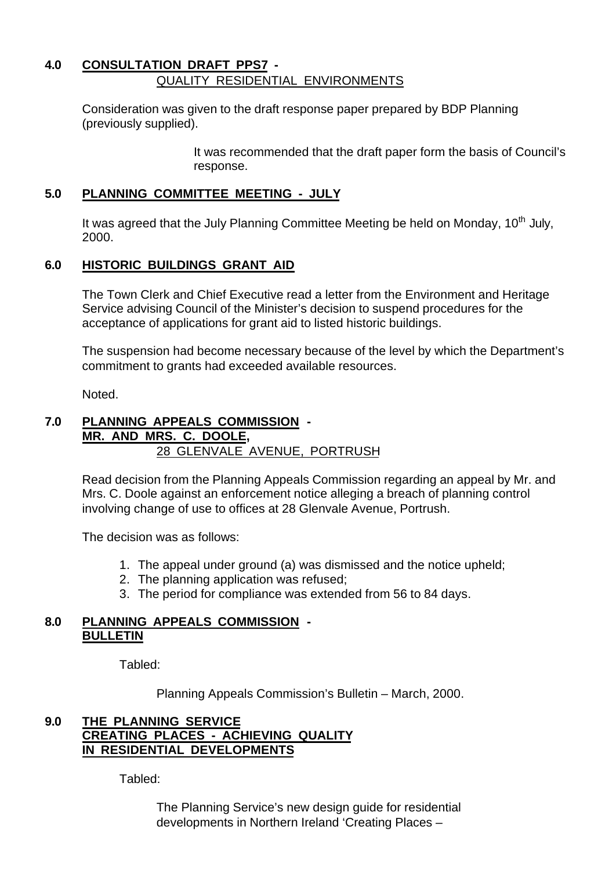## **4.0 CONSULTATION DRAFT PPS7 -** QUALITY RESIDENTIAL ENVIRONMENTS

Consideration was given to the draft response paper prepared by BDP Planning (previously supplied).

> It was recommended that the draft paper form the basis of Council's response.

## **5.0 PLANNING COMMITTEE MEETING - JULY**

It was agreed that the July Planning Committee Meeting be held on Monday, 10<sup>th</sup> July, 2000.

## **6.0 HISTORIC BUILDINGS GRANT AID**

The Town Clerk and Chief Executive read a letter from the Environment and Heritage Service advising Council of the Minister's decision to suspend procedures for the acceptance of applications for grant aid to listed historic buildings.

The suspension had become necessary because of the level by which the Department's commitment to grants had exceeded available resources.

Noted.

#### **7.0 PLANNING APPEALS COMMISSION - MR. AND MRS. C. DOOLE,** 28 GLENVALE AVENUE, PORTRUSH

Read decision from the Planning Appeals Commission regarding an appeal by Mr. and Mrs. C. Doole against an enforcement notice alleging a breach of planning control involving change of use to offices at 28 Glenvale Avenue, Portrush.

The decision was as follows:

- 1. The appeal under ground (a) was dismissed and the notice upheld;
- 2. The planning application was refused;
- 3. The period for compliance was extended from 56 to 84 days.

#### **8.0 PLANNING APPEALS COMMISSION - BULLETIN**

Tabled:

Planning Appeals Commission's Bulletin – March, 2000.

### **9.0 THE PLANNING SERVICE CREATING PLACES - ACHIEVING QUALITY IN RESIDENTIAL DEVELOPMENTS**

Tabled:

The Planning Service's new design guide for residential developments in Northern Ireland 'Creating Places –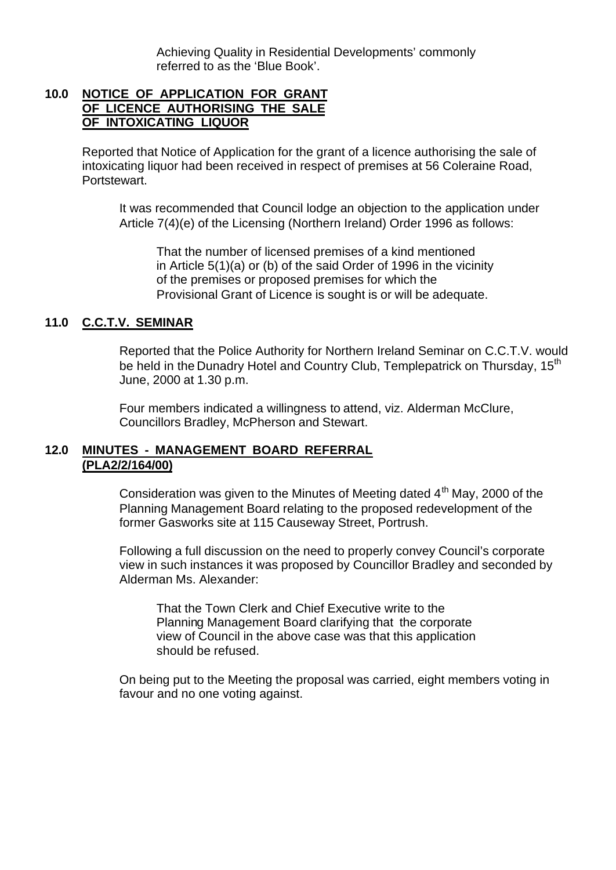Achieving Quality in Residential Developments' commonly referred to as the 'Blue Book'.

#### **10.0 NOTICE OF APPLICATION FOR GRANT OF LICENCE AUTHORISING THE SALE OF INTOXICATING LIQUOR**

Reported that Notice of Application for the grant of a licence authorising the sale of intoxicating liquor had been received in respect of premises at 56 Coleraine Road, Portstewart.

It was recommended that Council lodge an objection to the application under Article 7(4)(e) of the Licensing (Northern Ireland) Order 1996 as follows:

That the number of licensed premises of a kind mentioned in Article 5(1)(a) or (b) of the said Order of 1996 in the vicinity of the premises or proposed premises for which the Provisional Grant of Licence is sought is or will be adequate.

#### **11.0 C.C.T.V. SEMINAR**

Reported that the Police Authority for Northern Ireland Seminar on C.C.T.V. would be held in the Dunadry Hotel and Country Club, Templepatrick on Thursday, 15<sup>th</sup> June, 2000 at 1.30 p.m.

Four members indicated a willingness to attend, viz. Alderman McClure, Councillors Bradley, McPherson and Stewart.

#### **12.0 MINUTES - MANAGEMENT BOARD REFERRAL (PLA2/2/164/00)**

Consideration was given to the Minutes of Meeting dated  $4<sup>th</sup>$  May, 2000 of the Planning Management Board relating to the proposed redevelopment of the former Gasworks site at 115 Causeway Street, Portrush.

Following a full discussion on the need to properly convey Council's corporate view in such instances it was proposed by Councillor Bradley and seconded by Alderman Ms. Alexander:

That the Town Clerk and Chief Executive write to the Planning Management Board clarifying that the corporate view of Council in the above case was that this application should be refused.

On being put to the Meeting the proposal was carried, eight members voting in favour and no one voting against.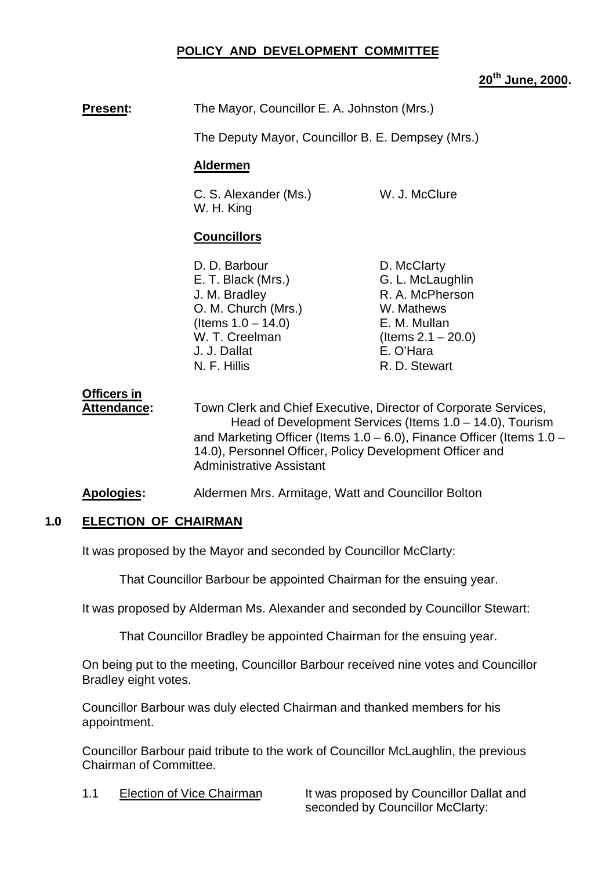### **POLICY AND DEVELOPMENT COMMITTEE**

## **20th June, 2000.**

**Present:** The Mayor, Councillor E. A. Johnston (Mrs.)

The Deputy Mayor, Councillor B. E. Dempsey (Mrs.)

#### **Aldermen**

C. S. Alexander (Ms.) W. J. McClure W. H. King

#### **Councillors**

- D. D. Barbour D. McClarty E. T. Black (Mrs.) G. L. McLaughlin J. M. Bradley **R. A. McPherson** O. M. Church (Mrs.) W. Mathews  $($ ltems  $1.0 - 14.0)$  E. M. Mullan W. T. Creelman (Items 2.1 – 20.0) J. J. Dallat E. O'Hara N. F. Hillis R. D. Stewart
	-

**Officers in**

**Attendance:** Town Clerk and Chief Executive, Director of Corporate Services, Head of Development Services (Items 1.0 – 14.0), Tourism and Marketing Officer (Items 1.0 – 6.0), Finance Officer (Items 1.0 – 14.0), Personnel Officer, Policy Development Officer and Administrative Assistant

**Apologies:** Aldermen Mrs. Armitage, Watt and Councillor Bolton

#### **1.0 ELECTION OF CHAIRMAN**

It was proposed by the Mayor and seconded by Councillor McClarty:

That Councillor Barbour be appointed Chairman for the ensuing year.

It was proposed by Alderman Ms. Alexander and seconded by Councillor Stewart:

That Councillor Bradley be appointed Chairman for the ensuing year.

On being put to the meeting, Councillor Barbour received nine votes and Councillor Bradley eight votes.

Councillor Barbour was duly elected Chairman and thanked members for his appointment.

Councillor Barbour paid tribute to the work of Councillor McLaughlin, the previous Chairman of Committee.

1.1 Election of Vice Chairman It was proposed by Councillor Dallat and seconded by Councillor McClarty: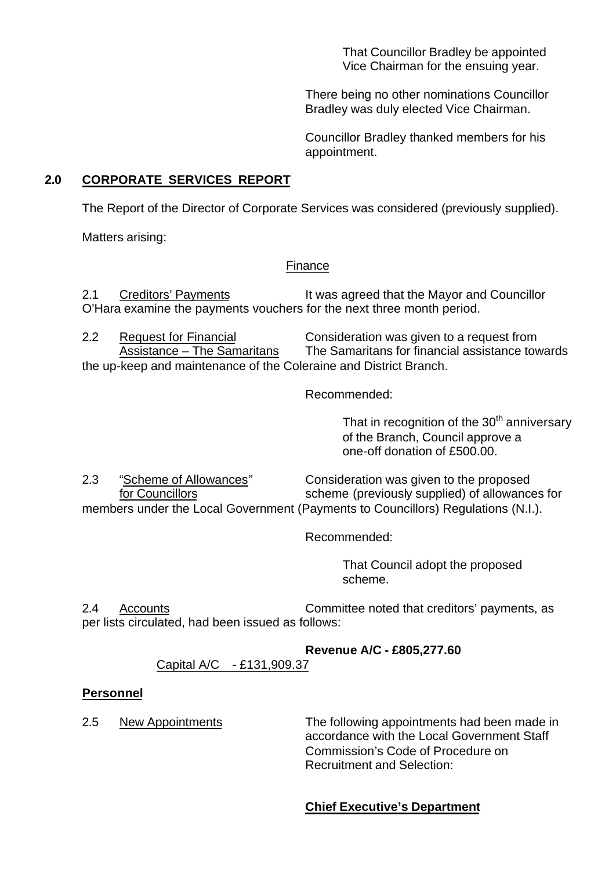That Councillor Bradley be appointed Vice Chairman for the ensuing year.

There being no other nominations Councillor Bradley was duly elected Vice Chairman.

Councillor Bradley thanked members for his appointment.

## **2.0 CORPORATE SERVICES REPORT**

The Report of the Director of Corporate Services was considered (previously supplied).

Matters arising:

## Finance

2.1 Creditors' Payments It was agreed that the Mayor and Councillor O'Hara examine the payments vouchers for the next three month period.

2.2 Request for Financial Consideration was given to a request from Assistance – The Samaritans The Samaritans for financial assistance towards the up-keep and maintenance of the Coleraine and District Branch.

Recommended:

That in recognition of the  $30<sup>th</sup>$  anniversary of the Branch, Council approve a one-off donation of £500.00.

2.3 "Scheme of Allowances" Consideration was given to the proposed for Councillors scheme (previously supplied) of allowances for members under the Local Government (Payments to Councillors) Regulations (N.I.).

Recommended:

That Council adopt the proposed scheme.

2.4 Accounts Committee noted that creditors' payments, as per lists circulated, had been issued as follows:

## **Revenue A/C - £805,277.60**

## Capital A/C - £131,909.37

## **Personnel**

2.5 New Appointments The following appointments had been made in accordance with the Local Government Staff Commission's Code of Procedure on Recruitment and Selection:

## **Chief Executive's Department**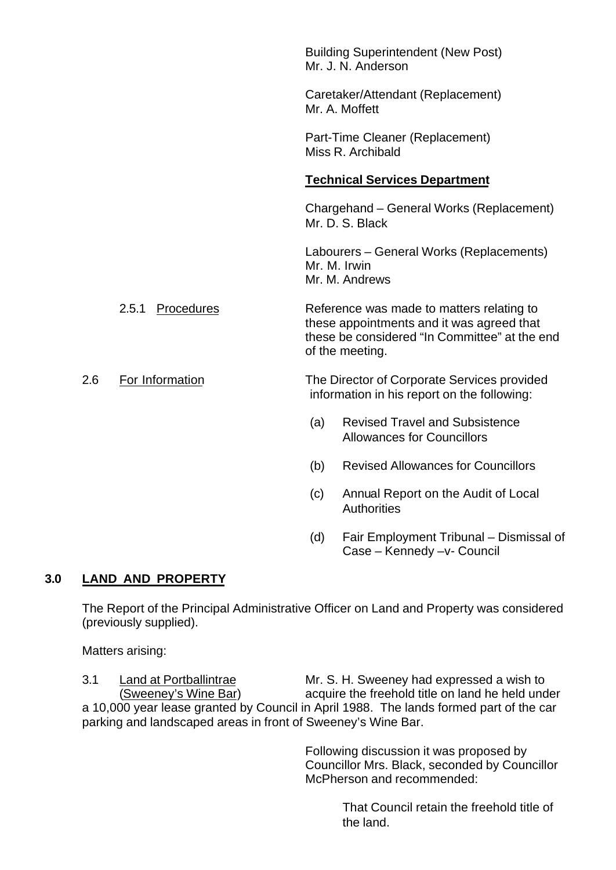|     |                     | <b>Building Superintendent (New Post)</b><br>Mr. J. N. Anderson                                                                                            |
|-----|---------------------|------------------------------------------------------------------------------------------------------------------------------------------------------------|
|     |                     | Caretaker/Attendant (Replacement)<br>Mr. A. Moffett                                                                                                        |
|     |                     | Part-Time Cleaner (Replacement)<br>Miss R. Archibald                                                                                                       |
|     |                     | <b>Technical Services Department</b>                                                                                                                       |
|     |                     | Chargehand – General Works (Replacement)<br>Mr. D. S. Black                                                                                                |
|     |                     | Labourers – General Works (Replacements)<br>Mr. M. Irwin<br>Mr. M. Andrews                                                                                 |
|     | 2.5.1<br>Procedures | Reference was made to matters relating to<br>these appointments and it was agreed that<br>these be considered "In Committee" at the end<br>of the meeting. |
| 2.6 | For Information     | The Director of Corporate Services provided<br>information in his report on the following:                                                                 |
|     |                     | <b>Revised Travel and Subsistence</b><br>(a)<br><b>Allowances for Councillors</b>                                                                          |

- (b) Revised Allowances for Councillors
- (c) Annual Report on the Audit of Local **Authorities**
- (d) Fair Employment Tribunal Dismissal of Case – Kennedy –v- Council

## **3.0 LAND AND PROPERTY**

The Report of the Principal Administrative Officer on Land and Property was considered (previously supplied).

Matters arising:

3.1 Land at Portballintrae Mr. S. H. Sweeney had expressed a wish to (Sweeney's Wine Bar) acquire the freehold title on land he held under a 10,000 year lease granted by Council in April 1988. The lands formed part of the car parking and landscaped areas in front of Sweeney's Wine Bar.

> Following discussion it was proposed by Councillor Mrs. Black, seconded by Councillor McPherson and recommended:

> > That Council retain the freehold title of the land.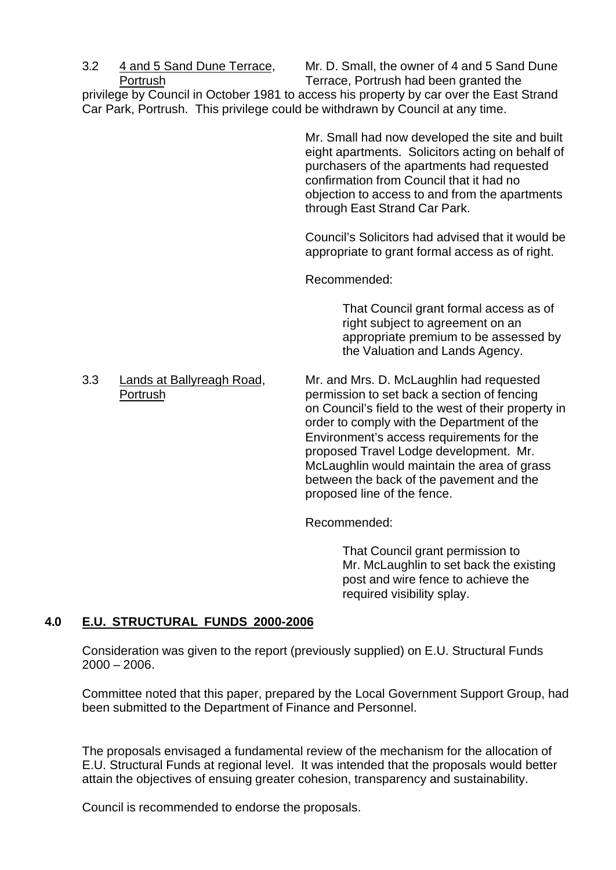3.2 4 and 5 Sand Dune Terrace, Mr. D. Small, the owner of 4 and 5 Sand Dune Portrush Terrace, Portrush had been granted the

privilege by Council in October 1981 to access his property by car over the East Strand Car Park, Portrush. This privilege could be withdrawn by Council at any time.

> Mr. Small had now developed the site and built eight apartments. Solicitors acting on behalf of purchasers of the apartments had requested confirmation from Council that it had no objection to access to and from the apartments through East Strand Car Park.

> Council's Solicitors had advised that it would be appropriate to grant formal access as of right.

Recommended:

That Council grant formal access as of right subject to agreement on an appropriate premium to be assessed by the Valuation and Lands Agency.

3.3 Lands at Ballyreagh Road, Mr. and Mrs. D. McLaughlin had requested Portrush permission to set back a section of fencing on Council's field to the west of their property in order to comply with the Department of the Environment's access requirements for the proposed Travel Lodge development. Mr. McLaughlin would maintain the area of grass between the back of the pavement and the proposed line of the fence.

Recommended:

That Council grant permission to Mr. McLaughlin to set back the existing post and wire fence to achieve the required visibility splay.

## **4.0 E.U. STRUCTURAL FUNDS 2000-2006**

Consideration was given to the report (previously supplied) on E.U. Structural Funds 2000 – 2006.

Committee noted that this paper, prepared by the Local Government Support Group, had been submitted to the Department of Finance and Personnel.

The proposals envisaged a fundamental review of the mechanism for the allocation of E.U. Structural Funds at regional level. It was intended that the proposals would better attain the objectives of ensuing greater cohesion, transparency and sustainability.

Council is recommended to endorse the proposals.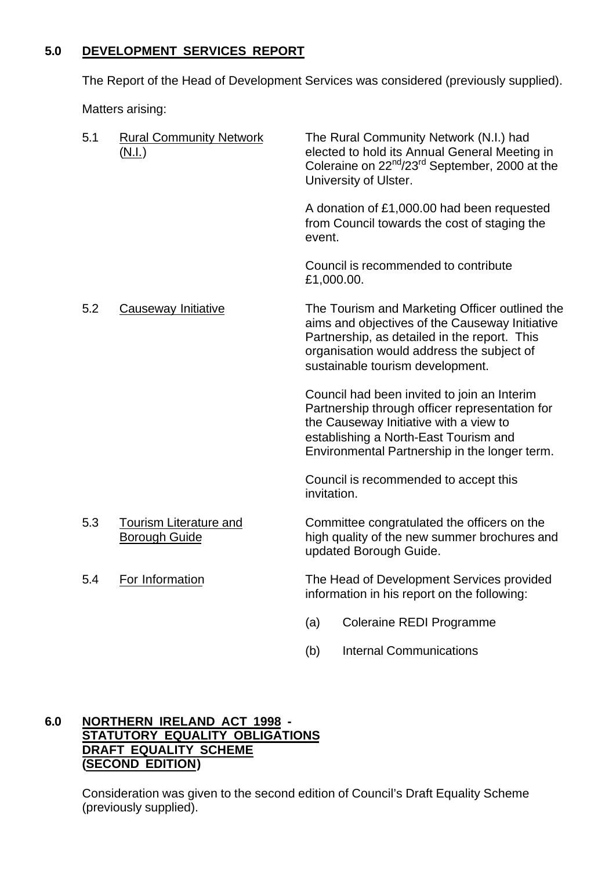## **5.0 DEVELOPMENT SERVICES REPORT**

The Report of the Head of Development Services was considered (previously supplied).

Matters arising:

| 5.1 | <b>Rural Community Network</b><br>(N.I.)              | The Rural Community Network (N.I.) had<br>elected to hold its Annual General Meeting in<br>Coleraine on 22 <sup>nd</sup> /23 <sup>rd</sup> September, 2000 at the<br>University of Ulster.                                        |
|-----|-------------------------------------------------------|-----------------------------------------------------------------------------------------------------------------------------------------------------------------------------------------------------------------------------------|
|     |                                                       | A donation of £1,000.00 had been requested<br>from Council towards the cost of staging the<br>event.                                                                                                                              |
|     |                                                       | Council is recommended to contribute<br>£1,000.00.                                                                                                                                                                                |
| 5.2 | Causeway Initiative                                   | The Tourism and Marketing Officer outlined the<br>aims and objectives of the Causeway Initiative<br>Partnership, as detailed in the report. This<br>organisation would address the subject of<br>sustainable tourism development. |
|     |                                                       | Council had been invited to join an Interim<br>Partnership through officer representation for<br>the Causeway Initiative with a view to<br>establishing a North-East Tourism and<br>Environmental Partnership in the longer term. |
|     |                                                       | Council is recommended to accept this<br>invitation.                                                                                                                                                                              |
| 5.3 | <b>Tourism Literature and</b><br><b>Borough Guide</b> | Committee congratulated the officers on the<br>high quality of the new summer brochures and<br>updated Borough Guide.                                                                                                             |
| 5.4 | For Information                                       | The Head of Development Services provided<br>information in his report on the following:                                                                                                                                          |
|     |                                                       | (a)<br><b>Coleraine REDI Programme</b>                                                                                                                                                                                            |
|     |                                                       | <b>Internal Communications</b><br>(b)                                                                                                                                                                                             |

## **6.0 NORTHERN IRELAND ACT 1998 - STATUTORY EQUALITY OBLIGATIONS DRAFT EQUALITY SCHEME (SECOND EDITION)**

Consideration was given to the second edition of Council's Draft Equality Scheme (previously supplied).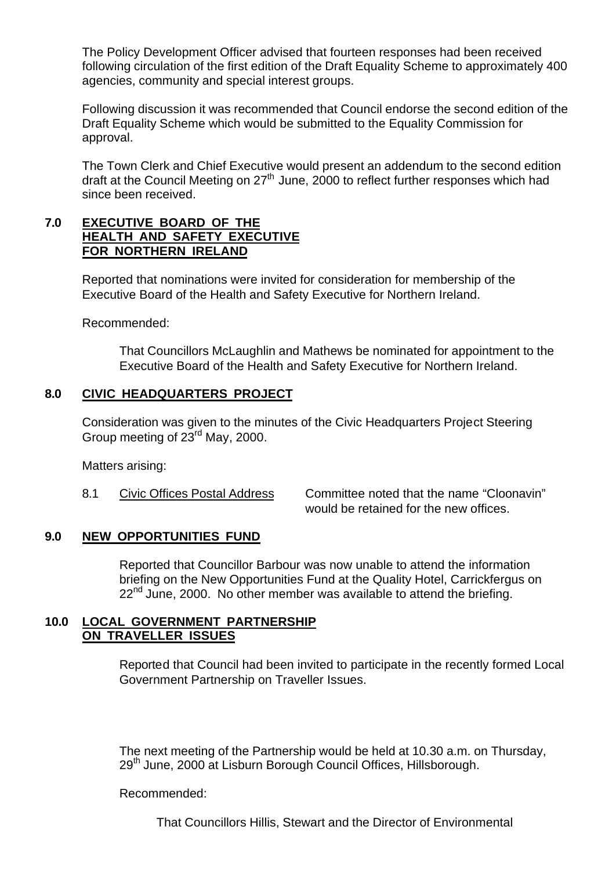The Policy Development Officer advised that fourteen responses had been received following circulation of the first edition of the Draft Equality Scheme to approximately 400 agencies, community and special interest groups.

Following discussion it was recommended that Council endorse the second edition of the Draft Equality Scheme which would be submitted to the Equality Commission for approval.

The Town Clerk and Chief Executive would present an addendum to the second edition draft at the Council Meeting on  $27<sup>th</sup>$  June, 2000 to reflect further responses which had since been received.

#### **7.0 EXECUTIVE BOARD OF THE HEALTH AND SAFETY EXECUTIVE FOR NORTHERN IRELAND**

Reported that nominations were invited for consideration for membership of the Executive Board of the Health and Safety Executive for Northern Ireland.

Recommended:

That Councillors McLaughlin and Mathews be nominated for appointment to the Executive Board of the Health and Safety Executive for Northern Ireland.

## **8.0 CIVIC HEADQUARTERS PROJECT**

Consideration was given to the minutes of the Civic Headquarters Project Steering Group meeting of 23rd May, 2000.

Matters arising:

8.1 Civic Offices Postal Address Committee noted that the name "Cloonavin" would be retained for the new offices.

#### **9.0 NEW OPPORTUNITIES FUND**

Reported that Councillor Barbour was now unable to attend the information briefing on the New Opportunities Fund at the Quality Hotel, Carrickfergus on 22<sup>nd</sup> June, 2000. No other member was available to attend the briefing.

#### **10.0 LOCAL GOVERNMENT PARTNERSHIP ON TRAVELLER ISSUES**

Reported that Council had been invited to participate in the recently formed Local Government Partnership on Traveller Issues.

The next meeting of the Partnership would be held at 10.30 a.m. on Thursday, 29<sup>th</sup> June, 2000 at Lisburn Borough Council Offices, Hillsborough.

Recommended:

That Councillors Hillis, Stewart and the Director of Environmental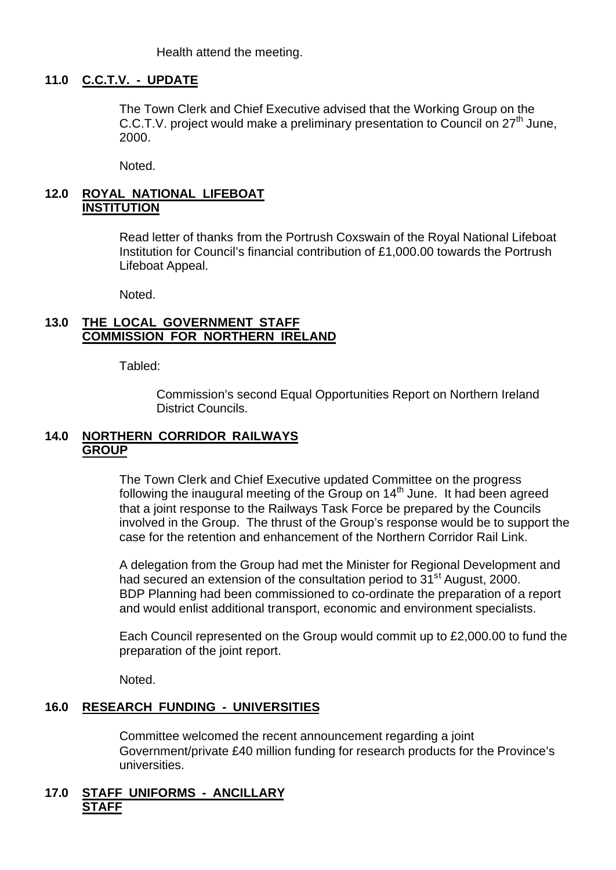Health attend the meeting.

#### **11.0 C.C.T.V. - UPDATE**

The Town Clerk and Chief Executive advised that the Working Group on the C.C.T.V. project would make a preliminary presentation to Council on 27<sup>th</sup> June, 2000.

Noted.

#### **12.0 ROYAL NATIONAL LIFEBOAT INSTITUTION**

Read letter of thanks from the Portrush Coxswain of the Royal National Lifeboat Institution for Council's financial contribution of £1,000.00 towards the Portrush Lifeboat Appeal.

Noted.

#### **13.0 THE LOCAL GOVERNMENT STAFF COMMISSION FOR NORTHERN IRELAND**

Tabled:

Commission's second Equal Opportunities Report on Northern Ireland District Councils.

#### **14.0 NORTHERN CORRIDOR RAILWAYS GROUP**

The Town Clerk and Chief Executive updated Committee on the progress following the inaugural meeting of the Group on 14<sup>th</sup> June. It had been agreed that a joint response to the Railways Task Force be prepared by the Councils involved in the Group. The thrust of the Group's response would be to support the case for the retention and enhancement of the Northern Corridor Rail Link.

A delegation from the Group had met the Minister for Regional Development and had secured an extension of the consultation period to 31<sup>st</sup> August, 2000. BDP Planning had been commissioned to co-ordinate the preparation of a report and would enlist additional transport, economic and environment specialists.

Each Council represented on the Group would commit up to £2,000.00 to fund the preparation of the joint report.

Noted.

## **16.0 RESEARCH FUNDING - UNIVERSITIES**

Committee welcomed the recent announcement regarding a joint Government/private £40 million funding for research products for the Province's universities.

#### **17.0 STAFF UNIFORMS - ANCILLARY STAFF**